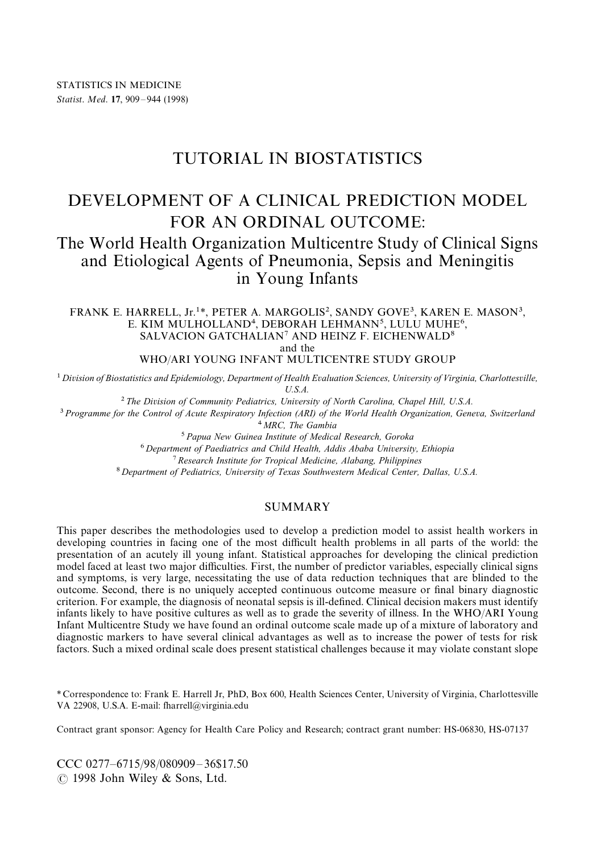# TUTORIAL IN BIOSTATISTICS

# DEVELOPMENT OF A CLINICAL PREDICTION MODEL FOR AN ORDINAL OUTCOME: The World Health Organization Multicentre Study of Clinical Signs and Etiological Agents of Pneumonia, Sepsis and Meningitis in Young Infants

FRANK E. HARRELL, Jr.<sup>1\*</sup>, PETER A. MARGOLIS<sup>2</sup>, SANDY GOVE<sup>3</sup>, KAREN E. MASON<sup>3</sup>, E. KIM MULHOLLAND<sup>4</sup>, DEBORAH LEHMANN<sup>5</sup>, LULU MUHE<sup>6</sup>, SALVACION GATCHALIAN<sup>7</sup> AND HEINZ F. EICHENWALD<sup>8</sup> and the

WHO/ARI YOUNG INFANT MULTICENTRE STUDY GROUP

1 *Division of Biostatistics and Epidemiology, Department of Health Evaluation Sciences, University of Virginia, Charlottesville, U.S.A.*

2 *The Division of Community Pediatrics, University of North Carolina, Chapel Hill, U.S.A.*

3 *Programme for the Control of Acute Respiratory Infection (ARI) of the World Health Organization, Geneva, Switzerland* 4 *MRC, The Gambia*

5 *Papua New Guinea Institute of Medical Research, Goroka*

6 *Department of Paediatrics and Child Health, Addis Ababa University, Ethiopia*

7 *Research Institute for Tropical Medicine, Alabang, Philippines*

8 *Department of Pediatrics, University of Texas Southwestern Medical Center, Dallas, U.S.A.*

### **SUMMARY**

This paper describes the methodologies used to develop a prediction model to assist health workers in developing countries in facing one of the most difficult health problems in all parts of the world: the presentation of an acutely ill young infant. Statistical approaches for developing the clinical prediction model faced at least two major difficulties. First, the number of predictor variables, especially clinical signs and symptoms, is very large, necessitating the use of data reduction techniques that are blinded to the outcome. Second, there is no uniquely accepted continuous outcome measure or final binary diagnostic criterion. For example, the diagnosis of neonatal sepsis is ill-defined. Clinical decision makers must identify infants likely to have positive cultures as well as to grade the severity of illness. In the WHO/ARI Young Infant Multicentre Study we have found an ordinal outcome scale made up of a mixture of laboratory and diagnostic markers to have several clinical advantages as well as to increase the power of tests for risk factors. Such a mixed ordinal scale does present statistical challenges because it may violate constant slope

*\** Correspondence to: Frank E. Harrell Jr, PhD, Box 600, Health Sciences Center, University of Virginia, Charlottesville VA 22908, U.S.A. E-mail: fharrell@virginia.edu

Contract grant sponsor: Agency for Health Care Policy and Research; contract grant number: HS-06830, HS-07137

CCC 0277*—*6715/98/080909*—* 36\$17.50  $\circ$  1998 John Wiley & Sons, Ltd.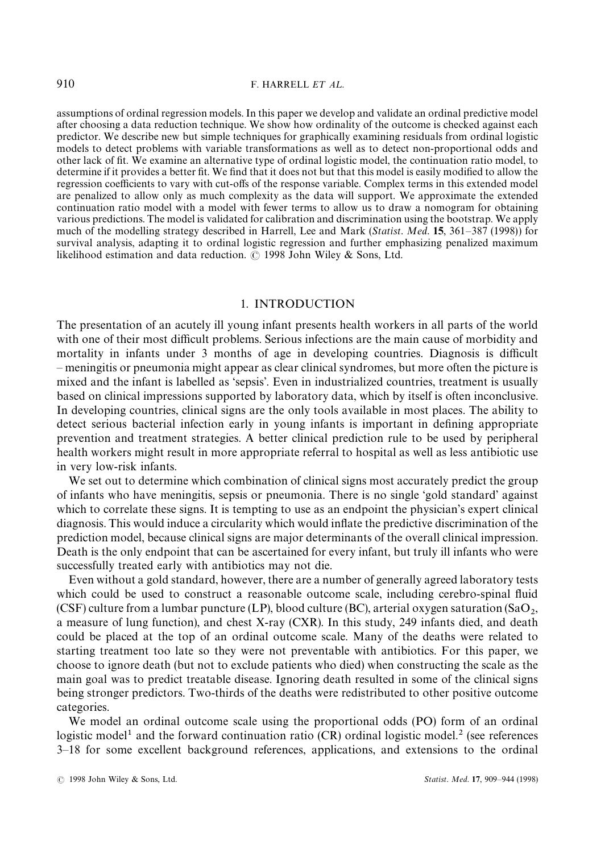assumptions of ordinal regression models. In this paper we develop and validate an ordinal predictive model after choosing a data reduction technique. We show how ordinality of the outcome is checked against each predictor. We describe new but simple techniques for graphically examining residuals from ordinal logistic models to detect problems with variable transformations as well as to detect non-proportional odds and other lack of fit. We examine an alternative type of ordinal logistic model, the continuation ratio model, to determine if it provides a better fit. We find that it does not but that this model is easily modified to allow the regression coefficients to vary with cut-offs of the response variable. Complex terms in this extended model are penalized to allow only as much complexity as the data will support. We approximate the extended continuation ratio model with a model with fewer terms to allow us to draw a nomogram for obtaining various predictions. The model is validated for calibration and discrimination using the bootstrap. We apply much of the modelling strategy described in Harrell, Lee and Mark (*Statist*. *Med*. 15, 361*—*387 (1998)) for survival analysis, adapting it to ordinal logistic regression and further emphasizing penalized maximum likelihood estimation and data reduction.  $\overline{O}$  1998 John Wiley & Sons, Ltd.

#### 1. INTRODUCTION

The presentation of an acutely ill young infant presents health workers in all parts of the world with one of their most difficult problems. Serious infections are the main cause of morbidity and mortality in infants under 3 months of age in developing countries. Diagnosis is difficult *—* meningitis or pneumonia might appear as clear clinical syndromes, but more often the picture is mixed and the infant is labelled as 'sepsis'. Even in industrialized countries, treatment is usually based on clinical impressions supported by laboratory data, which by itself is often inconclusive. In developing countries, clinical signs are the only tools available in most places. The ability to detect serious bacterial infection early in young infants is important in defining appropriate prevention and treatment strategies. A better clinical prediction rule to be used by peripheral health workers might result in more appropriate referral to hospital as well as less antibiotic use in very low-risk infants.

We set out to determine which combination of clinical signs most accurately predict the group of infants who have meningitis, sepsis or pneumonia. There is no single 'gold standard' against which to correlate these signs. It is tempting to use as an endpoint the physician's expert clinical diagnosis. This would induce a circularity which would inflate the predictive discrimination of the prediction model, because clinical signs are major determinants of the overall clinical impression. Death is the only endpoint that can be ascertained for every infant, but truly ill infants who were successfully treated early with antibiotics may not die.

Even without a gold standard, however, there are a number of generally agreed laboratory tests which could be used to construct a reasonable outcome scale, including cerebro-spinal fluid  $(CSF)$  culture from a lumbar puncture (LP), blood culture (BC), arterial oxygen saturation (SaO<sub>2</sub>, a measure of lung function), and chest X-ray (CXR). In this study, 249 infants died, and death could be placed at the top of an ordinal outcome scale. Many of the deaths were related to starting treatment too late so they were not preventable with antibiotics. For this paper, we choose to ignore death (but not to exclude patients who died) when constructing the scale as the main goal was to predict treatable disease. Ignoring death resulted in some of the clinical signs being stronger predictors. Two-thirds of the deaths were redistributed to other positive outcome categories.

We model an ordinal outcome scale using the proportional odds (PO) form of an ordinal logistic model<sup>1</sup> and the forward continuation ratio (CR) ordinal logistic model.<sup>2</sup> (see references 3*—*18 for some excellent background references, applications, and extensions to the ordinal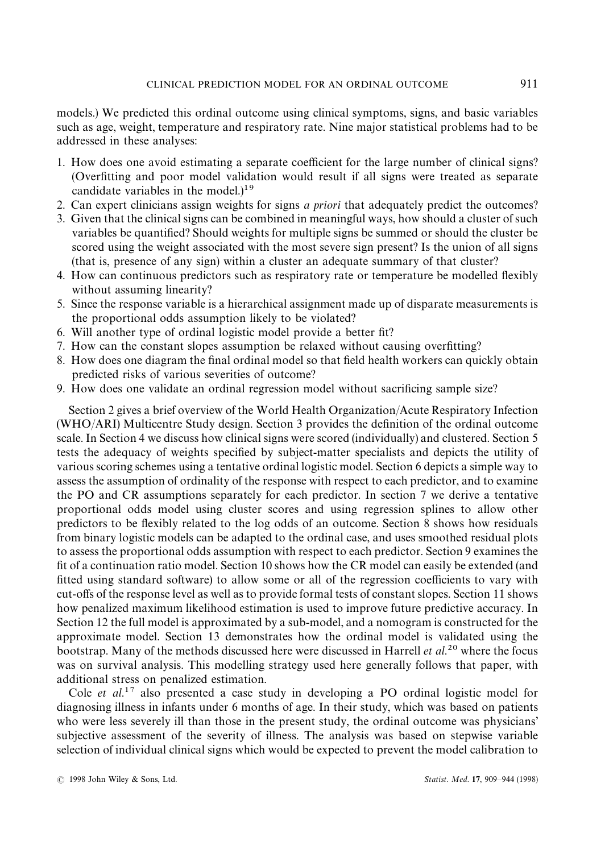models.) We predicted this ordinal outcome using clinical symptoms, signs, and basic variables such as age, weight, temperature and respiratory rate. Nine major statistical problems had to be addressed in these analyses:

- 1. How does one avoid estimating a separate coefficient for the large number of clinical signs? (Overfitting and poor model validation would result if all signs were treated as separate candidate variables in the model.)<sup>19</sup>
- 2. Can expert clinicians assign weights for signs *a priori* that adequately predict the outcomes?
- 3. Given that the clinical signs can be combined in meaningful ways, how should a cluster of such variables be quantified? Should weights for multiple signs be summed or should the cluster be scored using the weight associated with the most severe sign present? Is the union of all signs (that is, presence of any sign) within a cluster an adequate summary of that cluster?
- 4. How can continuous predictors such as respiratory rate or temperature be modelled flexibly without assuming linearity?
- 5. Since the response variable is a hierarchical assignment made up of disparate measurements is the proportional odds assumption likely to be violated?
- 6. Will another type of ordinal logistic model provide a better fit?
- 7. How can the constant slopes assumption be relaxed without causing overfitting?
- 8. How does one diagram the final ordinal model so that field health workers can quickly obtain predicted risks of various severities of outcome?
- 9. How does one validate an ordinal regression model without sacrificing sample size?

Section 2 gives a brief overview of the World Health Organization/Acute Respiratory Infection (WHO/ARI) Multicentre Study design. Section 3 provides the definition of the ordinal outcome scale. In Section 4 we discuss how clinical signs were scored (individually) and clustered. Section 5 tests the adequacy of weights specified by subject-matter specialists and depicts the utility of various scoring schemes using a tentative ordinal logistic model. Section 6 depicts a simple way to assess the assumption of ordinality of the response with respect to each predictor, and to examine the PO and CR assumptions separately for each predictor. In section 7 we derive a tentative proportional odds model using cluster scores and using regression splines to allow other predictors to be flexibly related to the log odds of an outcome. Section 8 shows how residuals from binary logistic models can be adapted to the ordinal case, and uses smoothed residual plots to assess the proportional odds assumption with respect to each predictor. Section 9 examines the fit of a continuation ratio model. Section 10 shows how the CR model can easily be extended (and fitted using standard software) to allow some or all of the regression coefficients to vary with cut-offs of the response level as well as to provide formal tests of constant slopes. Section 11 shows how penalized maximum likelihood estimation is used to improve future predictive accuracy. In Section 12 the full model is approximated by a sub-model, and a nomogram is constructed for the approximate model. Section 13 demonstrates how the ordinal model is validated using the bootstrap. Many of the methods discussed here were discussed in Harrell *et al*.20 where the focus was on survival analysis. This modelling strategy used here generally follows that paper, with additional stress on penalized estimation.

Cole *et al*.17 also presented a case study in developing a PO ordinal logistic model for diagnosing illness in infants under 6 months of age. In their study, which was based on patients who were less severely ill than those in the present study, the ordinal outcome was physicians' subjective assessment of the severity of illness. The analysis was based on stepwise variable selection of individual clinical signs which would be expected to prevent the model calibration to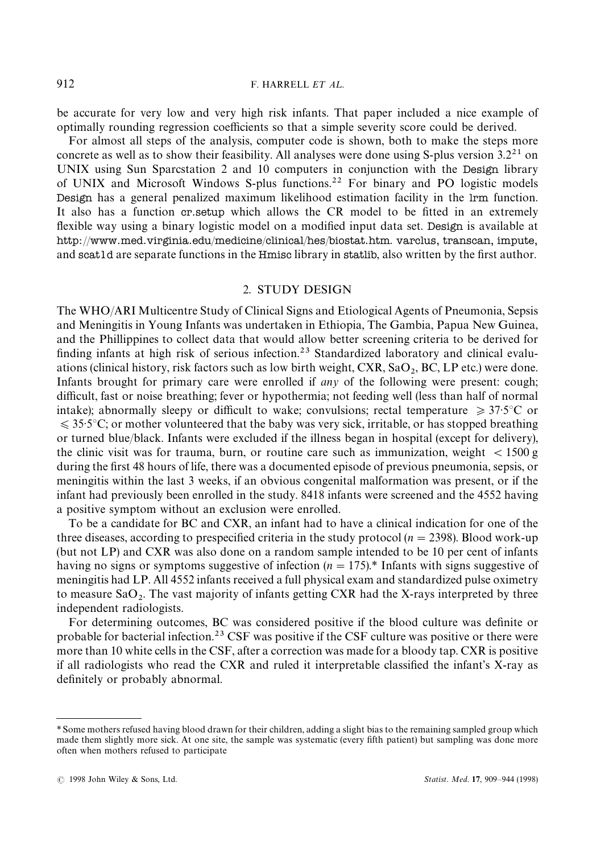#### 912 F. HARRELL *ET AL*.

be accurate for very low and very high risk infants. That paper included a nice example of optimally rounding regression coefficients so that a simple severity score could be derived.

For almost all steps of the analysis, computer code is shown, both to make the steps more concrete as well as to show their feasibility. All analyses were done using S-plus version  $3.2<sup>21</sup>$  on UNIX using Sun Sparcstation 2 and 10 computers in conjunction with the Design library of UNIX and Microsoft Windows S-plus functions.22 For binary and PO logistic models Design has a general penalized maximum likelihood estimation facility in the lrm function. It also has a function cr.setup which allows the CR model to be fitted in an extremely flexible way using a binary logistic model on a modified input data set. Design is available at http://www.med.virginia.edu/medicine/clinical/hes/biostat.htm. varclus, transcan, impute, and scat1d are separate functions in the Hmisc library in statlib, also written by the first author.

### 2. STUDY DESIGN

The WHO/ARI Multicentre Study of Clinical Signs and Etiological Agents of Pneumonia, Sepsis and Meningitis in Young Infants was undertaken in Ethiopia, The Gambia, Papua New Guinea, and the Phillippines to collect data that would allow better screening criteria to be derived for finding infants at high risk of serious infection.23 Standardized laboratory and clinical evaluations (clinical history, risk factors such as low birth weight, CXR, SaO<sub>2</sub>, BC, LP etc.) were done. Infants brought for primary care were enrolled if *any* of the following were present: cough; difficult, fast or noise breathing; fever or hypothermia; not feeding well (less than half of normal intake); abnormally sleepy or difficult to wake; convulsions; rectal temperature  $\geq 37.5^{\circ}$ C or  $\leq 35.5^{\circ}$ C; or mother volunteered that the baby was very sick, irritable, or has stopped breathing or turned blue/black. Infants were excluded if the illness began in hospital (except for delivery), the clinic visit was for trauma, burn, or routine care such as immunization, weight  $\langle 1500 \text{ g} \rangle$ during the first 48 hours of life, there was a documented episode of previous pneumonia, sepsis, or meningitis within the last 3 weeks, if an obvious congenital malformation was present, or if the infant had previously been enrolled in the study. 8418 infants were screened and the 4552 having a positive symptom without an exclusion were enrolled.

To be a candidate for BC and CXR, an infant had to have a clinical indication for one of the three diseases, according to prespecified criteria in the study protocol  $(n = 2398)$ . Blood work-up (but not LP) and CXR was also done on a random sample intended to be 10 per cent of infants having no signs or symptoms suggestive of infection  $(n = 175)$ .<sup>\*</sup> Infants with signs suggestive of meningitis had LP. All 4552 infants received a full physical exam and standardized pulse oximetry to measure  $SaO_2$ . The vast majority of infants getting CXR had the X-rays interpreted by three independent radiologists.

For determining outcomes, BC was considered positive if the blood culture was definite or probable for bacterial infection.<sup>23</sup> CSF was positive if the CSF culture was positive or there were more than 10 white cells in the CSF, after a correction was made for a bloody tap. CXR is positive if all radiologists who read the CXR and ruled it interpretable classified the infant's X-ray as definitely or probably abnormal.

*<sup>\*</sup>* Some mothers refused having blood drawn for their children, adding a slight bias to the remaining sampled group which made them slightly more sick. At one site, the sample was systematic (every fifth patient) but sampling was done more often when mothers refused to participate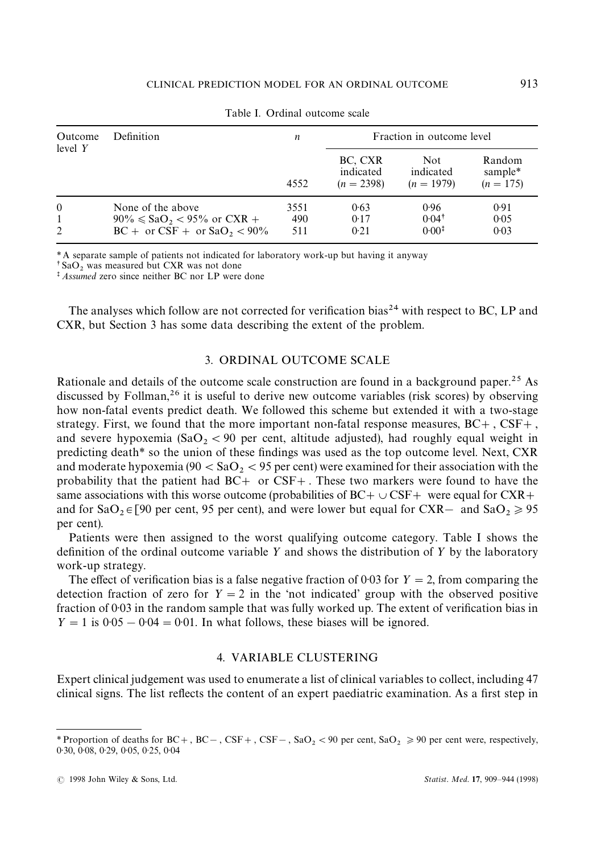| Outcome<br>level Y  | Definition                                                                                       | n                  |                                      | Fraction in outcome level         |                                  |
|---------------------|--------------------------------------------------------------------------------------------------|--------------------|--------------------------------------|-----------------------------------|----------------------------------|
|                     |                                                                                                  | 4552               | BC, CXR<br>indicated<br>$(n = 2398)$ | Not.<br>indicated<br>$(n = 1979)$ | Random<br>sample*<br>$(n = 175)$ |
| $\theta$<br>-1<br>2 | None of the above<br>$90\% \leq SaO_2 \leq 95\%$ or CXR +<br>$BC +$ or $CSF +$ or $SaO_2 < 90\%$ | 3551<br>490<br>511 | 0.63<br>0.17<br>0.21                 | 0.96<br>$0.04^*$<br>$0.00*$       | 0.91<br>0.05<br>0.03             |

Table I. Ordinal outcome scale

*\** A separate sample of patients not indicated for laboratory work-up but having it anyway

 $\frac{1}{1}$  SaO<sub>2</sub> was measured but CXR was not done

*Assumed* zero since neither BC nor LP were done

The analyses which follow are not corrected for verification bias<sup>24</sup> with respect to BC, LP and CXR, but Section 3 has some data describing the extent of the problem.

#### 3. ORDINAL OUTCOME SCALE

Rationale and details of the outcome scale construction are found in a background paper.<sup>25</sup> As discussed by Follman,<sup>26</sup> it is useful to derive new outcome variables (risk scores) by observing how non-fatal events predict death. We followed this scheme but extended it with a two-stage strategy. First, we found that the more important non-fatal response measures,  $BC+$ ,  $CSF+$ , and severe hypoxemia  $(SaO_2 < 90$  per cent, altitude adjusted), had roughly equal weight in predicting death*\** so the union of these findings was used as the top outcome level. Next, CXR and moderate hypoxemia  $(90 < SaO<sub>2</sub> < 95$  per cent) were examined for their association with the probability that the patient had  $BC+$  or  $CSF+$ . These two markers were found to have the same associations with this worse outcome (probabilities of  $BC+ \cup CSF+$  were equal for  $CXR+$ and for  $\text{SaO}_2 \in [90 \text{ per cent}, 95 \text{ per cent})$ , and were lower but equal for  $\text{CXR}-$  and  $\text{SaO}_2 \geq 95$ per cent).

Patients were then assigned to the worst qualifying outcome category. Table I shows the definition of the ordinal outcome variable  $Y$  and shows the distribution of  $Y$  by the laboratory work-up strategy.

The effect of verification bias is a false negative fraction of 0.03 for  $Y = 2$ , from comparing the detection fraction of zero for  $Y = 2$  in the 'not indicated' group with the observed positive fraction of 0)03 in the random sample that was fully worked up. The extent of verification bias in  $Y = 1$  is  $0.05 - 0.04 = 0.01$ . In what follows, these biases will be ignored.

## 4. VARIABLE CLUSTERING

Expert clinical judgement was used to enumerate a list of clinical variables to collect, including 47 clinical signs. The list reflects the content of an expert paediatric examination. As a first step in

<sup>\*</sup> Proportion of deaths for  $BC +$ ,  $BC -$ ,  $CSF +$ ,  $CSF -$ ,  $SaO<sub>2</sub> < 90$  per cent,  $SaO<sub>2</sub> \ge 90$  per cent were, respectively, 0.30, 0.08, 0.29, 0.05, 0.25, 0.04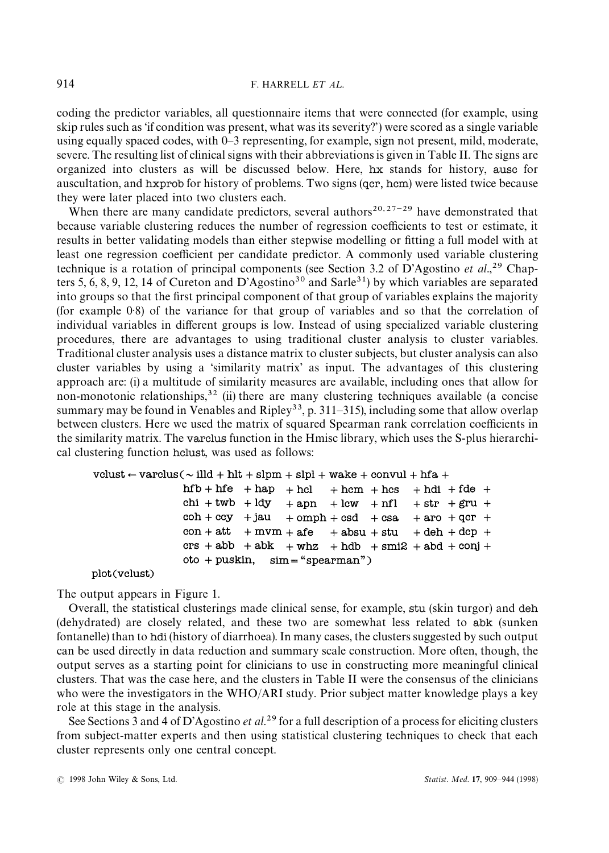coding the predictor variables, all questionnaire items that were connected (for example, using skip rules such as 'if condition was present, what was its severity?') were scored as a single variable using equally spaced codes, with 0*—*3 representing, for example, sign not present, mild, moderate, severe. The resulting list of clinical signs with their abbreviations is given in Table II. The signs are organized into clusters as will be discussed below. Here, hx stands for history, ausc for auscultation, and hxprob for history of problems. Two signs (qcr, hcm) were listed twice because they were later placed into two clusters each.

When there are many candidate predictors, several authors<sup>20,27-29</sup> have demonstrated that because variable clustering reduces the number of regression coefficients to test or estimate, it results in better validating models than either stepwise modelling or fitting a full model with at least one regression coefficient per candidate predictor. A commonly used variable clustering technique is a rotation of principal components (see Section 3.2 of D'Agostino *et al.*,<sup>29</sup> Chapters 5, 6, 8, 9, 12, 14 of Cureton and D'Agostino<sup>30</sup> and Sarle<sup>31</sup>) by which variables are separated into groups so that the first principal component of that group of variables explains the majority (for example 0)8) of the variance for that group of variables and so that the correlation of individual variables in different groups is low. Instead of using specialized variable clustering procedures, there are advantages to using traditional cluster analysis to cluster variables. Traditional cluster analysis uses a distance matrix to cluster subjects, but cluster analysis can also cluster variables by using a 'similarity matrix' as input. The advantages of this clustering approach are: (i) a multitude of similarity measures are available, including ones that allow for non-monotonic relationships,<sup>32</sup> (ii) there are many clustering techniques available (a concise summary may be found in Venables and Ripley<sup>33</sup>, p. 311–315), including some that allow overlap between clusters. Here we used the matrix of squared Spearman rank correlation coefficients in the similarity matrix. The varclus function in the Hmisc library, which uses the S-plus hierarchical clustering function hclust, was used as follows:

```
vclust \leftarrow \text{varclus}(\sim \text{illd} + \text{hlt} + \text{slpm} + \text{slpl} + \text{wake} + \text{convul} + \text{hfa} +hfb + hfe + hap + hcl+ \text{ hem } + \text{hes}+ hdi + fde +\chichi + twb + ldy
                                        + apn + lcw + nfl
                                                                   + str + gru +\cosh + ccy + jau+ omph + csd + csa
                                                                   + aro + qcr +\cos + att
                               + mvm + afe+ absu + stu + deh + dcp +
                   \text{crs + abb + abk + whz + hdb + smi2 + abd + conj +}oto + puskin,
                                     sim="space remain")
```
plot(vclust)

The output appears in Figure 1.

Overall, the statistical clusterings made clinical sense, for example, stu (skin turgor) and deh (dehydrated) are closely related, and these two are somewhat less related to abk (sunken fontanelle) than to hdi (history of diarrhoea). In many cases, the clusters suggested by such output can be used directly in data reduction and summary scale construction. More often, though, the output serves as a starting point for clinicians to use in constructing more meaningful clinical clusters. That was the case here, and the clusters in Table II were the consensus of the clinicians who were the investigators in the WHO/ARI study. Prior subject matter knowledge plays a key role at this stage in the analysis.

See Sections 3 and 4 of D'Agostino *et al.*<sup>29</sup> for a full description of a process for eliciting clusters from subject-matter experts and then using statistical clustering techniques to check that each cluster represents only one central concept.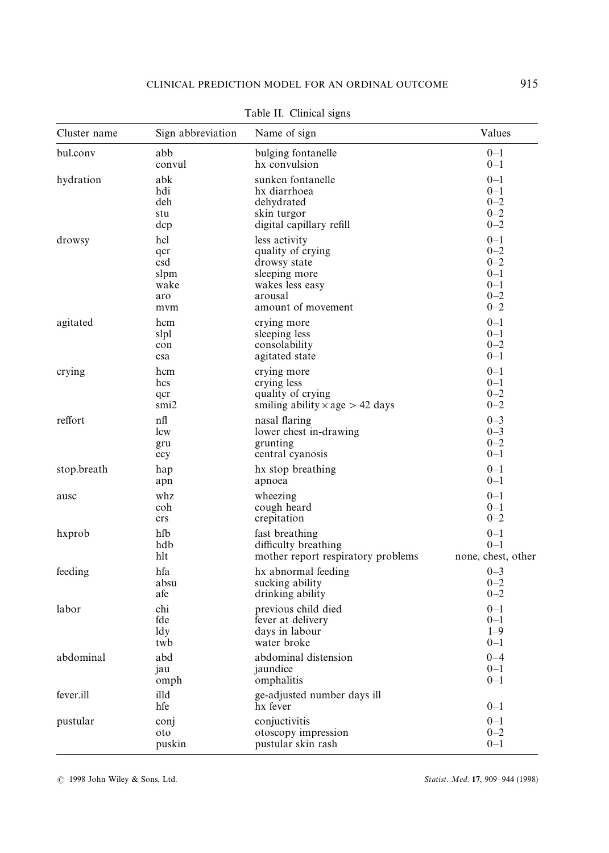| Cluster name | Sign abbreviation | Name of sign                             | Values             |
|--------------|-------------------|------------------------------------------|--------------------|
| bul.conv     | abb               | bulging fontanelle                       | $0 - 1$            |
|              | convul            | hx convulsion                            | $0 - 1$            |
| hydration    | abk               | sunken fontanelle                        | $0 - 1$            |
|              | hdi               | hx diarrhoea                             | $0 - 1$            |
|              | deh               | dehydrated                               | $0 - 2$            |
|              | stu               | skin turgor                              | $0 - 2$            |
|              | dcp               | digital capillary refill                 | $0 - 2$            |
| drowsy       | hcl               | less activity                            | $0 - 1$            |
|              | qcr               | quality of crying                        | $0 - 2$            |
|              | csd               | drowsy state                             | $0 - 2$            |
|              | slpm              | sleeping more                            | $_{\rm 0-1}$       |
|              | wake              | wakes less easy                          | $_{\rm 0-1}$       |
|              | aro               | arousal                                  | $0 - 2$            |
|              | mvm               | amount of movement                       | $0 - 2$            |
| agitated     | hcm               | crying more                              | $0 - 1$            |
|              | slpl              | sleeping less                            | $0 - 1$            |
|              | con               | consolability                            | $0 - 2$            |
|              | csa               | agitated state                           | $0 - 1$            |
| crying       | hcm               | crying more                              | $0 - 1$            |
|              | hcs               | crying less                              | $0 - 1$            |
|              | qcr               | quality of crying                        | $0 - 2$            |
|              | $\text{smi2}$     | smiling ability $\times$ age $> 42$ days | $0 - 2$            |
| reffort      | nfl               | nasal flaring                            | $0 - 3$            |
|              | lcw               | lower chest in-drawing                   | $0 - 3$            |
|              | gru               | grunting                                 | $0 - 2$            |
|              | ccy               | central cyanosis                         | $0 - 1$            |
| stop.breath  | hap               | hx stop breathing                        | $0 - 1$            |
|              | apn               | apnoea                                   | $0 - 1$            |
| ausc         | whz               | wheezing                                 | $0 - 1$            |
|              | coh               | cough heard                              | $0 - 1$            |
|              | crs               | crepitation                              | $0 - 2$            |
| hxprob       | hfb               | fast breathing                           | $0 - 1$            |
|              | hdb               | difficulty breathing                     | $0 - 1$            |
|              | hlt               | mother report respiratory problems       | none, chest, other |
| feeding      | hfa               | hx abnormal feeding                      | $0 - 3$            |
|              | absu              | sucking ability                          | $0 - 2$            |
|              | afe               | drinking ability                         | $0 - 2$            |
| labor        | chi               | previous child died                      | $0 - 1$            |
|              | fde               | fever at delivery                        | $0 - 1$            |
|              | ldy               | days in labour                           | $1 - 9$            |
|              | twb               | water broke                              | $0 - 1$            |
| abdominal    | abd               | abdominal distension                     | $0 - 4$            |
|              | jau               | jaundice                                 | $_{\rm 0-1}$       |
|              | omph              | omphalitis                               | $0 - 1$            |
| fever.ill    | illd<br>hfe       | ge-adjusted number days ill<br>hx fever  | $0 - 1$            |
| pustular     | conj              | conjuctivitis                            | $0 - 1$            |
|              | oto               | otoscopy impression                      | $0 - 2$            |
|              | puskin            | pustular skin rash                       | $0 - 1$            |

Table II. Clinical signs

( 1998 John Wiley & Sons, Ltd. *Statist*. *Med*. 17, 909*—*944 (1998)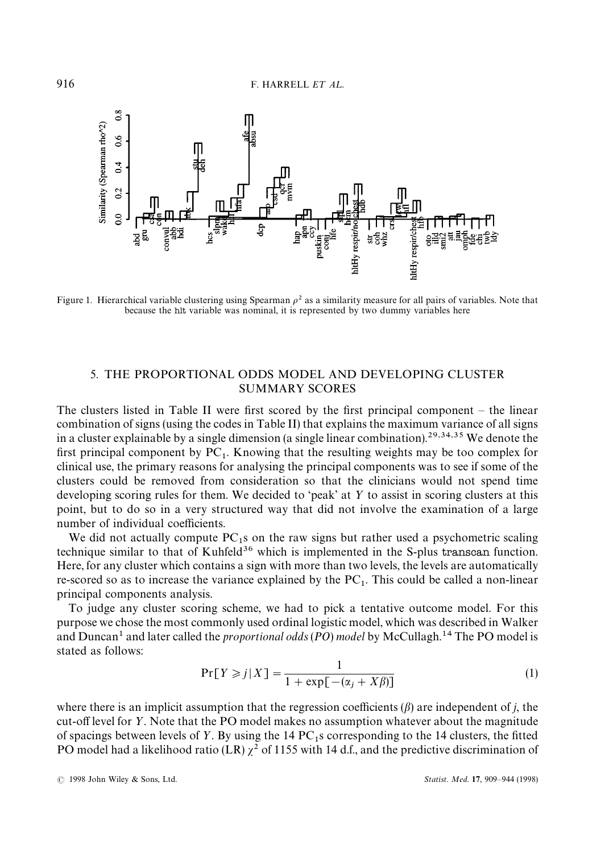

Figure 1. Hierarchical variable clustering using Spearman  $\rho^2$  as a similarity measure for all pairs of variables. Note that because the hlt variable was nominal, it is represented by two dummy variables here

## 5. THE PROPORTIONAL ODDS MODEL AND DEVELOPING CLUSTER SUMMARY SCORES

The clusters listed in Table II were first scored by the first principal component *—* the linear combination of signs (using the codes in Table II) that explains the maximum variance of all signs in a cluster explainable by a single dimension (a single linear combination).<sup>29,34,35</sup> We denote the first principal component by  $PC_1$ . Knowing that the resulting weights may be too complex for clinical use, the primary reasons for analysing the principal components was to see if some of the clusters could be removed from consideration so that the clinicians would not spend time developing scoring rules for them. We decided to 'peak' at  $Y$  to assist in scoring clusters at this point, but to do so in a very structured way that did not involve the examination of a large number of individual coefficients.

We did not actually compute  $PC_1$ s on the raw signs but rather used a psychometric scaling technique similar to that of Kuhfeld<sup>36</sup> which is implemented in the S-plus transcan function. Here, for any cluster which contains a sign with more than two levels, the levels are automatically re-scored so as to increase the variance explained by the  $PC_1$ . This could be called a non-linear principal components analysis.

To judge any cluster scoring scheme, we had to pick a tentative outcome model. For this purpose we chose the most commonly used ordinal logistic model, which was described in Walker and Duncan<sup>1</sup> and later called the *proportional odds* (*PO*) *model* by McCullagh.<sup>14</sup> The PO model is stated as follows:

$$
\Pr[Y \ge j | X] = \frac{1}{1 + \exp[-(\alpha_j + X\beta)]}
$$
(1)

where there is an implicit assumption that the regression coefficients  $(\beta)$  are independent of *j*, the cut-off level for ½. Note that the PO model makes no assumption whatever about the magnitude of spacings between levels of Y. By using the 14  $PC_1$ s corresponding to the 14 clusters, the fitted PO model had a likelihood ratio (LR)  $\chi^2$  of 1155 with 14 d.f., and the predictive discrimination of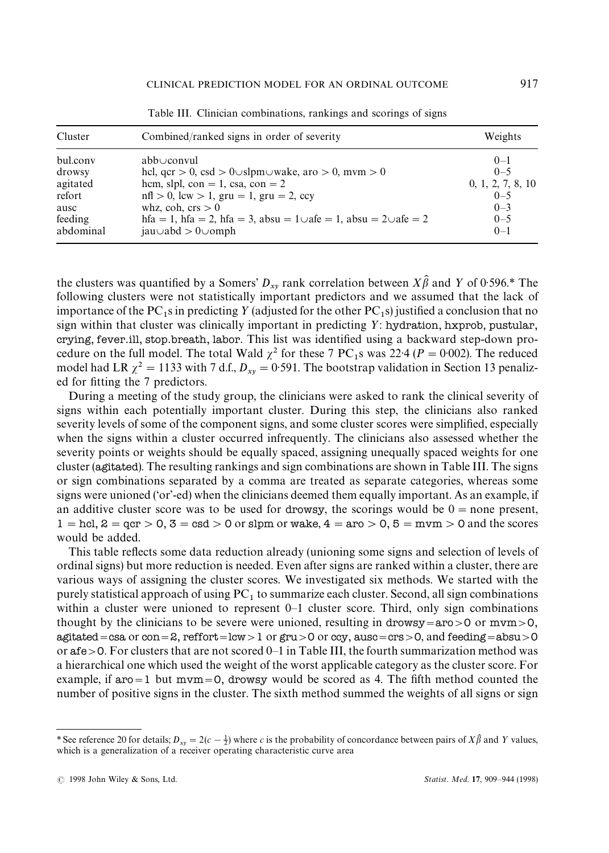| Cluster   | Combined/ranked signs in order of severity                                   | Weights           |
|-----------|------------------------------------------------------------------------------|-------------------|
| bul.conv  | $abb\cup convul$                                                             | $0 - 1$           |
| drowsy    | hcl, $qcr > 0$ , csd $> 0$ $\cup$ slpm $\cup$ wake, aro $> 0$ , mvm $> 0$    | $0 - 5$           |
| agitated  | hcm, slpl, con = 1, csa, con = 2                                             | 0, 1, 2, 7, 8, 10 |
| refort    | $nfl > 0$ , lcw $> 1$ , gru = 1, gru = 2, ccy                                | $0 - 5$           |
| ausc      | whz, coh, $\text{crs} > 0$                                                   | $0 - 3$           |
| feeding   | hfa = 1, hfa = 2, hfa = 3, absu = $1 \cup afe = 1$ , absu = $2 \cup afe = 2$ | $0 - 5$           |
| abdominal | jau $\cup$ abd $> 0$ $\cup$ omph                                             | $0 - 1$           |

Table III. Clinician combinations, rankings and scorings of signs

the clusters was quantified by a Somers'  $D_{xy}$  rank correlation between  $X\hat{\beta}$  and  $Y$  of 0.596.\* The following clusters were not statistically important predictors and we assumed that the lack of importance of the PC<sub>1</sub>s in predicting Y (adjusted for the other PC<sub>1</sub>s) justified a conclusion that no sign within that cluster was clinically important in predicting  $Y:$  hydration, hxprob, pustular, crying, fever.ill, stop.breath, labor. This list was identified using a backward step-down procedure on the full model. The total Wald  $\chi^2$  for these 7 PC<sub>1</sub>s was 22-4 ( $P = 0.002$ ). The reduced model had LR  $\chi^2 = 1133$  with 7 d.f.,  $D_{xy} = 0.591$ . The bootstrap validation in Section 13 penalized for fitting the 7 predictors.

During a meeting of the study group, the clinicians were asked to rank the clinical severity of signs within each potentially important cluster. During this step, the clinicians also ranked severity levels of some of the component signs, and some cluster scores were simplified, especially when the signs within a cluster occurred infrequently. The clinicians also assessed whether the severity points or weights should be equally spaced, assigning unequally spaced weights for one cluster (agitated). The resulting rankings and sign combinations are shown in Table III. The signs or sign combinations separated by a comma are treated as separate categories, whereas some signs were unioned ('or'-ed) when the clinicians deemed them equally important. As an example, if an additive cluster score was to be used for drowsy, the scorings would be  $0 =$  none present,  $1 = \text{hcl},$   $2 = \text{qcr} > 0$ ,  $3 = \text{csd} > 0$  or slpm or wake,  $4 = \text{aro} > 0$ ,  $5 = \text{mvm} > 0$  and the scores would be added.

This table reflects some data reduction already (unioning some signs and selection of levels of ordinal signs) but more reduction is needed. Even after signs are ranked within a cluster, there are various ways of assigning the cluster scores. We investigated six methods. We started with the purely statistical approach of using  $PC_1$  to summarize each cluster. Second, all sign combinations within a cluster were unioned to represent  $0-1$  cluster score. Third, only sign combinations thought by the clinicians to be severe were unioned, resulting in drowsy= $a$ ro $>0$  or mvm $>0$ , agitated=csa or con=2, reffort=lcw>1 or gru>0 or ccy, ausc=crs>0, and feeding=absu>0 or afe'0. For clusters that are not scored 0*—*1 in Table III, the fourth summarization method was a hierarchical one which used the weight of the worst applicable category as the cluster score. For example, if  $aro = 1$  but mvm=0, drowsy would be scored as 4. The fifth method counted the number of positive signs in the cluster. The sixth method summed the weights of all signs or sign

<sup>&</sup>lt;sup>\*</sup> See reference 20 for details;  $D_{xy} = 2(c - \frac{1}{2})$  where *c* is the probability of concordance between pairs of  $X\hat{\beta}$  and  $Y$  values, which is a generalization of a receiver operating characteristic curve area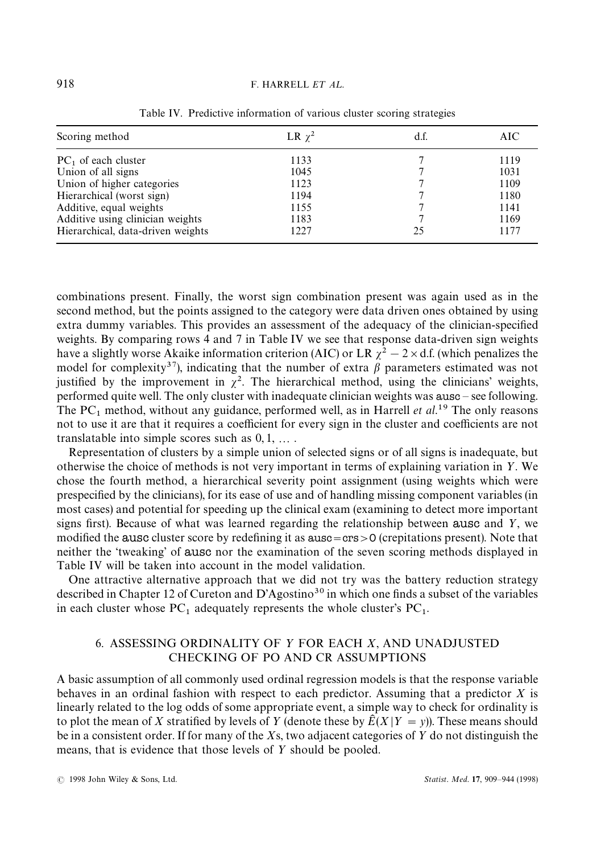| Scoring method                    | LR $\chi^2$ | d.f. | AIC  |
|-----------------------------------|-------------|------|------|
| $PC_1$ of each cluster            | 1133        |      | 1119 |
| Union of all signs                | 1045        |      | 1031 |
| Union of higher categories        | 1123        |      | 1109 |
| Hierarchical (worst sign)         | 1194        |      | 1180 |
| Additive, equal weights           | 1155        |      | 1141 |
| Additive using clinician weights  | 1183        |      | 1169 |
| Hierarchical, data-driven weights | 1227        | 25   | 1177 |

Table IV. Predictive information of various cluster scoring strategies

combinations present. Finally, the worst sign combination present was again used as in the second method, but the points assigned to the category were data driven ones obtained by using extra dummy variables. This provides an assessment of the adequacy of the clinician-specified weights. By comparing rows 4 and 7 in Table IV we see that response data-driven sign weights have a slightly worse Akaike information criterion (AIC) or LR  $\chi^2 - 2 \times d.f$ . (which penalizes the model for complexity<sup>37</sup>), indicating that the number of extra  $\beta$  parameters estimated was not justified by the improvement in  $\chi^2$ . The hierarchical method, using the clinicians' weights, performed quite well. The only cluster with inadequate clinician weights was ausc *—* see following. The PC<sub>1</sub> method, without any guidance, performed well, as in Harrell *et al.*<sup>19</sup> The only reasons not to use it are that it requires a coefficient for every sign in the cluster and coefficients are not translatable into simple scores such as  $0, 1, \ldots$ .

Representation of clusters by a simple union of selected signs or of all signs is inadequate, but otherwise the choice of methods is not very important in terms of explaining variation in ½. We chose the fourth method, a hierarchical severity point assignment (using weights which were prespecified by the clinicians), for its ease of use and of handling missing component variables (in most cases) and potential for speeding up the clinical exam (examining to detect more important signs first). Because of what was learned regarding the relationship between ausc and ½, we modified the ausc cluster score by redefining it as  $a \text{u} s = \text{c} \text{r} s > 0$  (crepitations present). Note that neither the 'tweaking' of ausc nor the examination of the seven scoring methods displayed in Table IV will be taken into account in the model validation.

One attractive alternative approach that we did not try was the battery reduction strategy described in Chapter 12 of Cureton and D'Agostino<sup>30</sup> in which one finds a subset of the variables in each cluster whose  $PC_1$  adequately represents the whole cluster's  $PC_1$ .

## 6. ASSESSING ORDINALITY OF ½ FOR EACH *X*, AND UNADJUSTED CHECKING OF PO AND CR ASSUMPTIONS

A basic assumption of all commonly used ordinal regression models is that the response variable behaves in an ordinal fashion with respect to each predictor. Assuming that a predictor *X* is linearly related to the log odds of some appropriate event, a simple way to check for ordinality is to plot the mean of *X* stratified by levels of *Y* (denote these by  $\hat{E}(X|Y=y)$ ). These means should be in a consistent order. If for many of the *X*s, two adjacent categories of ½ do not distinguish the means, that is evidence that those levels of ½ should be pooled.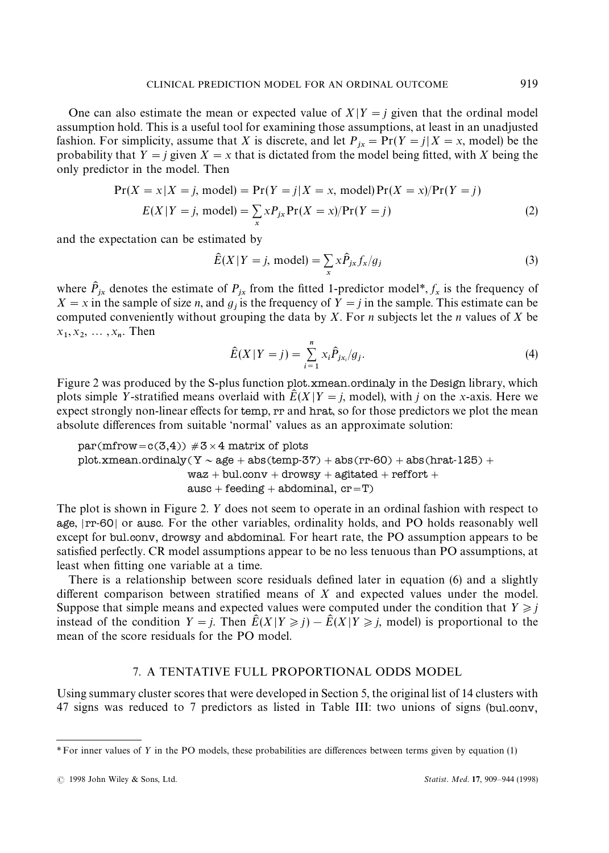One can also estimate the mean or expected value of  $X|Y = i$  given that the ordinal model assumption hold. This is a useful tool for examining those assumptions, at least in an unadjusted fashion. For simplicity, assume that *X* is discrete, and let  $P_{jx} = Pr(Y = j | X = x, \text{ model})$  be the probability that  $Y = j$  given  $X = x$  that is dictated from the model being fitted, with *X* being the only predictor in the model. Then

$$
Pr(X = x | X = j, \text{ model}) = Pr(Y = j | X = x, \text{ model}) Pr(X = x) / Pr(Y = j)
$$
  

$$
E(X | Y = j, \text{ model}) = \sum_{x} x P_{jx} Pr(X = x) / Pr(Y = j)
$$
 (2)

and the expectation can be estimated by

$$
\hat{E}(X|Y=j, \text{model}) = \sum_{x} x \hat{P}_{jx} f_x / g_j \tag{3}
$$

where  $\hat{P}_{jx}$  denotes the estimate of  $P_{jx}$  from the fitted 1-predictor model<sup>\*</sup>,  $f_x$  is the frequency of  $X = x$  in the sample of size *n*, and  $g_i$  is the frequency of  $\overline{Y} = j$  in the sample. This estimate can be computed conveniently without grouping the data by *X*. For *n* subjects let the *n* values of *X* be  $x_1, x_2, \ldots, x_n$ . Then

$$
\hat{E}(X|Y=j) = \sum_{i=1}^{n} x_i \hat{P}_{jx_i}/g_j.
$$
\n(4)

Figure 2 was produced by the S-plus function plot.xmean.ordinaly in the Design library, which plots simple Y-stratified means overlaid with  $\hat{E}(X|Y=i)$ , model), with *j* on the *x*-axis. Here we expect strongly non-linear effects for temp, rr and hrat, so for those predictors we plot the mean absolute differences from suitable 'normal' values as an approximate solution:<br>par(mfrow= $c(3,4)$ ) #3 × 4 matrix of plots

$$
par(mfrow = c(3,4)) \# 3 \times 4 \text{ matrix of plots}
$$
\n
$$
plot.xmean.ordinaly(Y \sim age + abs(temp-37) + abs(rr-60) + abs(hrat-125) +
$$
\n
$$
waz + bul.comv + dropsy + agitated + reffort +
$$
\n
$$
ause + feeding + abdominal, cr = T)
$$

The plot is shown in Figure 2. Y does not seem to operate in an ordinal fashion with respect to age,  $|\text{rr-60}|$  or ausc. For the other variables, ordinality holds, and PO holds reasonably well except for bul.conv, drowsy and abdominal. For heart rate, the PO assumption appears to be satisfied perfectly. CR model assumptions appear to be no less tenuous than PO assumptions, at least when fitting one variable at a time.

There is a relationship between score residuals defined later in equation (6) and a slightly different comparison between stratified means of *X* and expected values under the model. Suppose that simple means and expected values were computed under the condition that  $Y \geq j$ instead of the condition  $Y = j$ . Then  $\hat{E}(X|Y \geq j) - \hat{E}(X|Y \geq j$ , model) is proportional to the mean of the score residuals for the PO model.

#### 7. A TENTATIVE FULL PROPORTIONAL ODDS MODEL

Using summary cluster scores that were developed in Section 5, the original list of 14 clusters with 47 signs was reduced to 7 predictors as listed in Table III: two unions of signs (bul.conv,

*<sup>\*</sup>*For inner values of ½ in the PO models, these probabilities are differences between terms given by equation (1)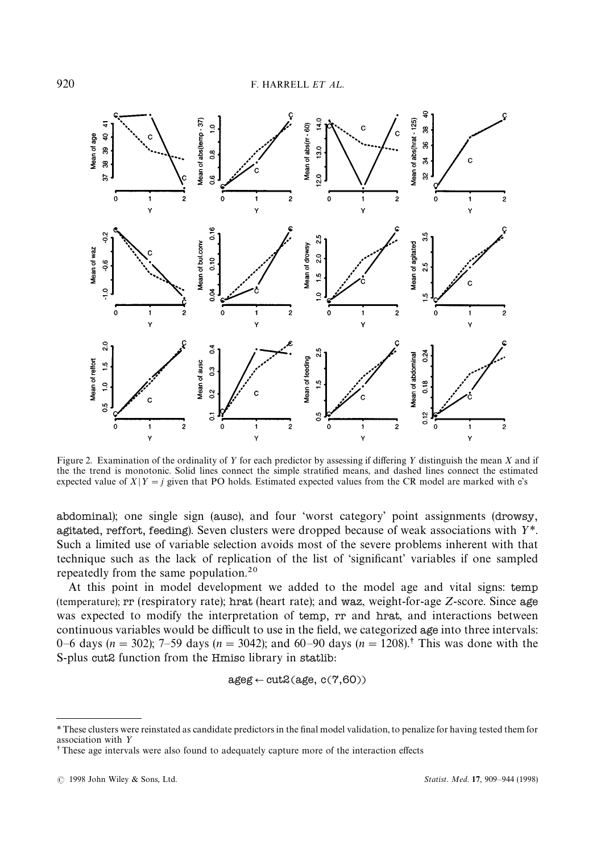

Figure 2. Examination of the ordinality of ½ for each predictor by assessing if differing ½ distinguish the mean *X* and if the the trend is monotonic. Solid lines connect the simple stratified means, and dashed lines connect the estimated expected value of  $X|Y = j$  given that PO holds. Estimated expected values from the CR model are marked with c's

abdominal); one single sign (ausc), and four 'worst category' point assignments (drowsy, agitated, reffort, feeding). Seven clusters were dropped because of weak associations with ½*\**. Such a limited use of variable selection avoids most of the severe problems inherent with that technique such as the lack of replication of the list of 'significant' variables if one sampled repeatedly from the same population.20

At this point in model development we added to the model age and vital signs: temp (temperature); rr (respiratory rate); hrat (heart rate); and waz, weight-for-age *Z*-score. Since age was expected to modify the interpretation of temp, rr and hrat, and interactions between continuous variables would be difficult to use in the field, we categorized age into three intervals: 0–6 days ( $n = 302$ ); 7–59 days ( $n = 3042$ ); and 60–90 days ( $n = 1208$ ).<sup>†</sup> This was done with the S-plus cut2 function from the Hmisc library in statlib:

ageg  $\leftarrow$  cut2(age, c(7,60))

*<sup>\*</sup>*These clusters were reinstated as candidate predictors in the final model validation, to penalize for having tested them for association with ½

 $\dagger$  These age intervals were also found to adequately capture more of the interaction effects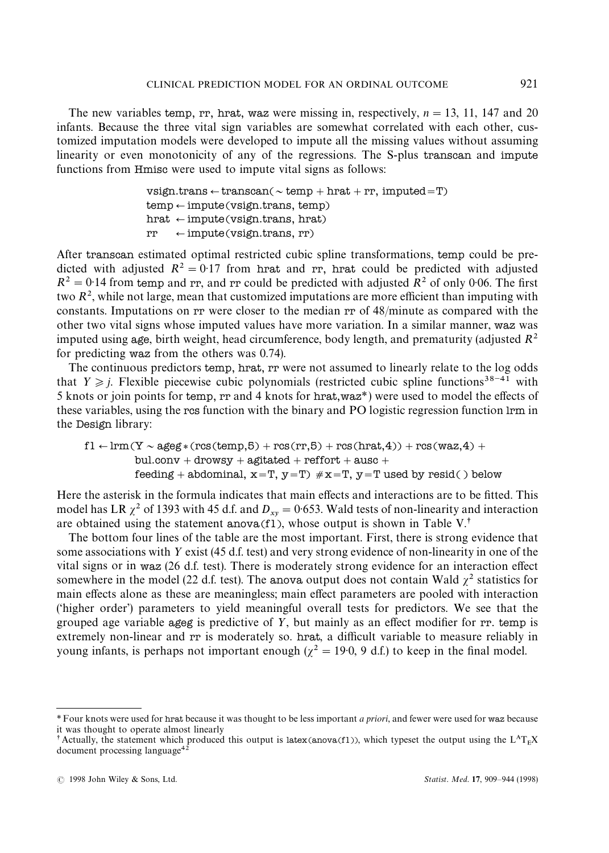The new variables temp, rr, hrat, waz were missing in, respectively,  $n = 13, 11, 147$  and 20 infants. Because the three vital sign variables are somewhat correlated with each other, customized imputation models were developed to impute all the missing values without assuming linearity or even monotonicity of any of the regressions. The S-plus transcan and impute functions from Hmisc were used to impute vital signs as follows:

```
vsign.trans \leftarrow transcan(\sim temp + hrat + rr, imputed = T)temp \leftarrow impute(vsign.transpose, temp)hrat \leftarrow impute(vsign.transpose, hrat)rr \leftarrow impute(vsign.trans, rr)
```
After transcan estimated optimal restricted cubic spline transformations, temp could be predicted with adjusted  $R^2 = 0.17$  from hrat and rr, hrat could be predicted with adjusted  $R^2 = 0.14$  from temp and rr, and rr could be predicted with adjusted  $R^2$  of only 0.06. The first two  $R^2$ , while not large, mean that customized imputations are more efficient than imputing with constants. Imputations on rr were closer to the median rr of 48/minute as compared with the other two vital signs whose imputed values have more variation. In a similar manner, waz was imputed using age, birth weight, head circumference, body length, and prematurity (adjusted  $R<sup>2</sup>$ for predicting waz from the others was 0.74).

The continuous predictors temp, hrat, rr were not assumed to linearly relate to the log odds that  $Y \ge j$ . Flexible piecewise cubic polynomials (restricted cubic spline functions<sup>38-41</sup> with 5 knots or join points for temp, rr and 4 knots for hrat,waz*\**) were used to model the effects of these variables, using the rcs function with the binary and PO logistic regression function lrm in the Design library:

 $fl \leftarrow \text{lrm}(Y \sim \text{ageg} * (\text{rcs}(\text{temp}, 5) + \text{rcs}(\text{rr}, 5) + \text{rcs}(\text{hrat}, 4)) + \text{rcs}(\text{waz}, 4) +$ bul.conv + drowsy + agitated + reffort + ausc + feeding + abdominal,  $x = T$ ,  $y = T$ )  $\# x = T$ ,  $y = T$  used by resid( ) below

Here the asterisk in the formula indicates that main effects and interactions are to be fitted. This model has LR  $\gamma^2$  of 1393 with 45 d.f. and  $D_{xy} = 0.653$ . Wald tests of non-linearity and interaction are obtained using the statement anova $(f1)$ , whose output is shown in Table V.<sup>†</sup>

The bottom four lines of the table are the most important. First, there is strong evidence that some associations with  $Y$  exist (45 d.f. test) and very strong evidence of non-linearity in one of the vital signs or in waz (26 d.f. test). There is moderately strong evidence for an interaction effect somewhere in the model (22 d.f. test). The anova output does not contain Wald  $\chi^2$  statistics for main effects alone as these are meaningless; main effect parameters are pooled with interaction ('higher order') parameters to yield meaningful overall tests for predictors. We see that the grouped age variable ageg is predictive of  $Y$ , but mainly as an effect modifier for  $rr$ , temp is extremely non-linear and rr is moderately so. hrat, a difficult variable to measure reliably in young infants, is perhaps not important enough ( $\chi^2 = 19.0$ , 9 d.f.) to keep in the final model.

( 1998 John Wiley & Sons, Ltd. *Statist*. *Med*. 17, 909*—*944 (1998)

*<sup>\*</sup>*Four knots were used for hrat because it was thought to be less important *a priori*, and fewer were used for waz because it was thought to operate almost linearly

It was thought to operate almost infearly<br>Actually, the statement which produced this output is latex(anova(f1)), which typeset the output using the L<sup>A</sup>T<sub>E</sub>X document processing language<sup>4</sup>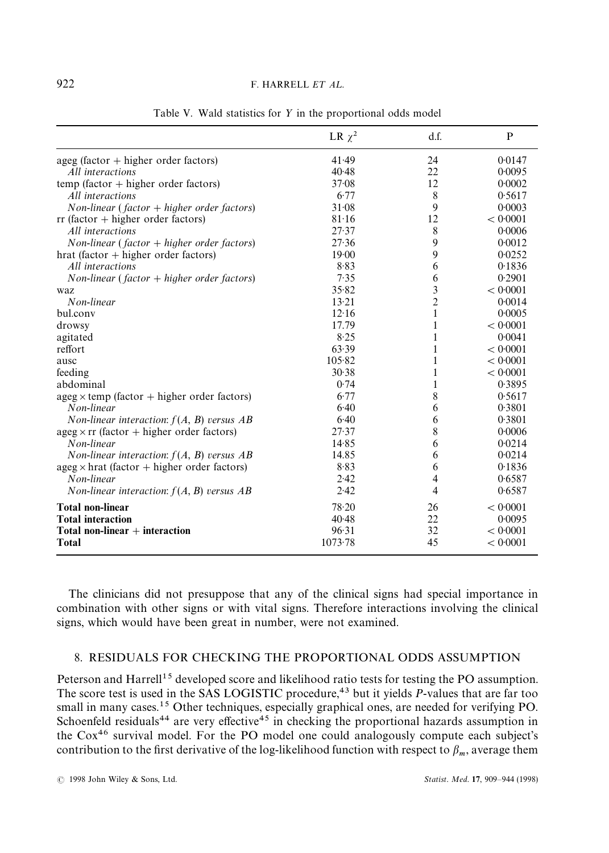|                                                    | LR $\chi^2$ | d.f. | $\mathbf{P}$ |
|----------------------------------------------------|-------------|------|--------------|
| $ageg (factor + higher order factors)$             | 41.49       | 24   | 0.0147       |
| All interactions                                   | 40.48       | 22   | 0.0095       |
| $temp$ (factor + higher order factors)             | 37.08       | 12   | 0.0002       |
| All interactions                                   | 6.77        | 8    | 0.5617       |
| Non-linear (factor $+$ higher order factors)       | 31.08       | 9    | 0.0003       |
| $rr$ (factor + higher order factors)               | 81.16       | 12   | < 0.0001     |
| All interactions                                   | 27.37       | 8    | 0.0006       |
| Non-linear ( $factor + higher order factors$ )     | 27.36       | 9    | 0.0012       |
| hrat (factor $+$ higher order factors)             | 19.00       | 9    | 0.0252       |
| All interactions                                   | 8.83        | 6    | 0.1836       |
| Non-linear (factor $+$ higher order factors)       | 7.35        | 6    | 0.2901       |
| waz                                                | 35.82       | 3    | < 0.0001     |
| Non-linear                                         | 13.21       | 2    | 0.0014       |
| bul.conv                                           | 12.16       | 1    | 0.0005       |
| drowsy                                             | 17.79       | 1    | < 0.0001     |
| agitated                                           | 8.25        | 1    | 0.0041       |
| reffort                                            | 63.39       | 1    | < 0.0001     |
| ausc                                               | 105.82      | 1    | < 0.0001     |
| feeding                                            | 30.38       | 1    | < 0.0001     |
| abdominal                                          | 0.74        | 1    | 0.3895       |
| $ageg \times temp (factor + higher order factors)$ | 6.77        | 8    | 0.5617       |
| Non-linear                                         | 6.40        | 6    | 0.3801       |
| Non-linear interaction: $f(A, B)$ versus AB        | 6.40        | 6    | 0.3801       |
| $ageg \times rr$ (factor + higher order factors)   | 27.37       | 8    | 0.0006       |
| Non-linear                                         | 14.85       | 6    | 0.0214       |
| Non-linear interaction: $f(A, B)$ versus AB        | 14.85       | 6    | 0.0214       |
| $ageg \times hrat$ (factor + higher order factors) | 8.83        | 6    | 0.1836       |
| Non-linear                                         | 2.42        | 4    | 0.6587       |
| Non-linear interaction: $f(A, B)$ versus AB        | 2.42        | 4    | 0.6587       |
| <b>Total non-linear</b>                            | 78.20       | 26   | < 0.0001     |
| <b>Total interaction</b>                           | 40.48       | 22   | 0.0095       |
| $Total non-linear + interaction$                   | 96.31       | 32   | < 0.0001     |
| <b>Total</b>                                       | 1073.78     | 45   | < 0.0001     |

Table V. Wald statistics for  $Y$  in the proportional odds model

The clinicians did not presuppose that any of the clinical signs had special importance in combination with other signs or with vital signs. Therefore interactions involving the clinical signs, which would have been great in number, were not examined.

## 8. RESIDUALS FOR CHECKING THE PROPORTIONAL ODDS ASSUMPTION

Peterson and Harrell<sup>15</sup> developed score and likelihood ratio tests for testing the PO assumption. The score test is used in the SAS LOGISTIC procedure,<sup>43</sup> but it yields *P*-values that are far too small in many cases.15 Other techniques, especially graphical ones, are needed for verifying PO. Schoenfeld residuals<sup>44</sup> are very effective<sup>45</sup> in checking the proportional hazards assumption in the Cox46 survival model. For the PO model one could analogously compute each subject's contribution to the first derivative of the log-likelihood function with respect to  $\beta_m$ , average them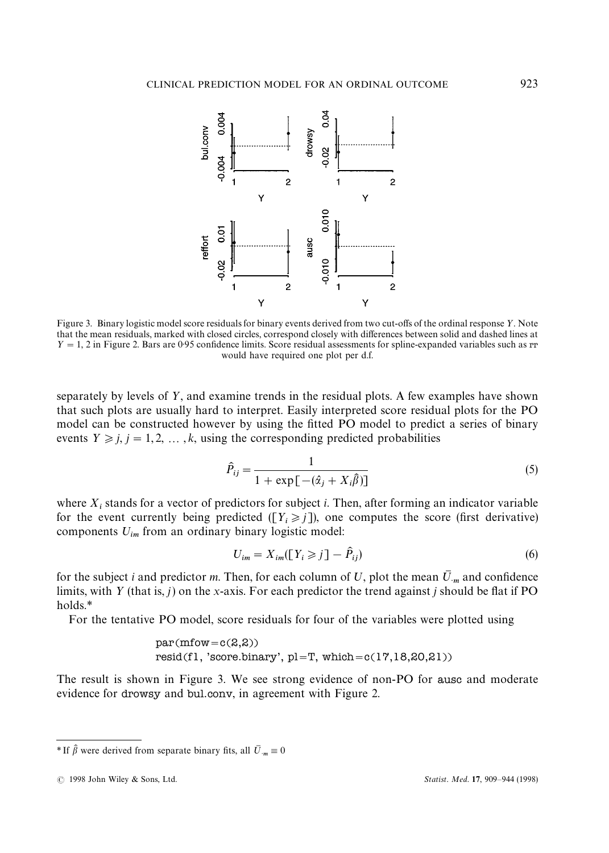

Figure 3. Binary logistic model score residuals for binary events derived from two cut-offs of the ordinal response ½. Note that the mean residuals, marked with closed circles, correspond closely with differences between solid and dashed lines at  $Y = 1$ , 2 in Figure 2. Bars are 0.95 confidence limits. Score residual assessments for spline-expanded variables such as rr would have required one plot per d.f.

separately by levels of ½, and examine trends in the residual plots. A few examples have shown that such plots are usually hard to interpret. Easily interpreted score residual plots for the PO model can be constructed however by using the fitted PO model to predict a series of binary events  $Y \ge j, j = 1, 2, ..., k$ , using the corresponding predicted probabilities

$$
\hat{P}_{ij} = \frac{1}{1 + \exp[-(\hat{\alpha}_j + X_i\hat{\beta})]}
$$
\n<sup>(5)</sup>

where  $X_i$  stands for a vector of predictors for subject  $i$ . Then, after forming an indicator variable for the event currently being predicted ( $[Y_i \geq j]$ ), one computes the score (first derivative) components  $U_{im}$  from an ordinary binary logistic model:

$$
U_{im} = X_{im}([\![Y_i \geq j]\!]-\widehat{P}_{ij})\tag{6}
$$

for the subject *i* and predictor *m*. Then, for each column of U, plot the mean  $\overline{U}_m$  and confidence limits, with  $Y$  (that is,  $j$ ) on the *x*-axis. For each predictor the trend against  $j$  should be flat if PO holds.*\**

For the tentative PO model, score residuals for four of the variables were plotted using

$$
\begin{array}{l} \texttt{par}(\texttt{m} \texttt{fow} \texttt{=} \texttt{c}(\texttt{2}, \texttt{2})) \\ \texttt{resid}(\texttt{f1}, \text{'score}.\texttt{binary'}, \texttt{pl} \texttt{=} \texttt{T}, \texttt{which} \texttt{=} \texttt{c}(17, 18, 20, 21)) \end{array}
$$

The result is shown in Figure 3. We see strong evidence of non-PO for ausc and moderate evidence for drowsy and bul.conv, in agreement with Figure 2.

<sup>&</sup>lt;sup>\*</sup> If  $\hat{\beta}$  were derived from separate binary fits, all  $\overline{U}_{m} \equiv 0$ 

<sup>(</sup> 1998 John Wiley & Sons, Ltd. *Statist*. *Med*. 17, 909*—*944 (1998)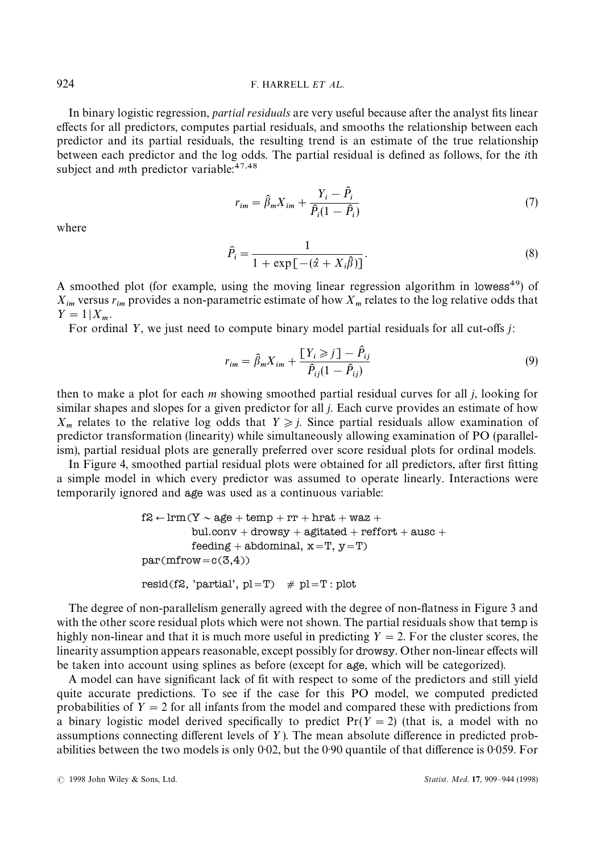924 F. HARRELL *ET AL*.

In binary logistic regression, *partial residuals* are very useful because after the analyst fits linear effects for all predictors, computes partial residuals, and smooths the relationship between each predictor and its partial residuals, the resulting trend is an estimate of the true relationship between each predictor and the log odds. The partial residual is defined as follows, for the *i*th subject and *m*th predictor variable:<sup>47,48</sup>

$$
r_{im} = \hat{\beta}_m X_{im} + \frac{Y_i - \hat{P}_i}{\hat{P}_i (1 - \hat{P}_i)}
$$
(7)

where

$$
\hat{P}_i = \frac{1}{1 + \exp[-(\hat{\alpha} + X_i\hat{\beta})]}.
$$
\n(8)

A smoothed plot (for example, using the moving linear regression algorithm in lowess<sup>49</sup>) of  $X_{im}$  versus  $r_{im}$  provides a non-parametric estimate of how  $X_m$  relates to the log relative odds that  $Y = 1 \, | X_m.$ 

For ordinal ½, we just need to compute binary model partial residuals for all cut-offs *j*:

$$
r_{im} = \hat{\beta}_m X_{im} + \frac{\left[Y_i \ge j\right] - \hat{P}_{ij}}{\hat{P}_{ij}(1 - \hat{P}_{ij})}
$$
(9)

then to make a plot for each *m* showing smoothed partial residual curves for all *j*, looking for similar shapes and slopes for a given predictor for all *j*. Each curve provides an estimate of how  $X_m$  relates to the relative log odds that  $Y \ge j$ . Since partial residuals allow examination of predictor transformation (linearity) while simultaneously allowing examination of PO (parallelism), partial residual plots are generally preferred over score residual plots for ordinal models.

In Figure 4, smoothed partial residual plots were obtained for all predictors, after first fitting a simple model in which every predictor was assumed to operate linearly. Interactions were temporarily ignored and age was used as a continuous variable:

```
f2 \leftarrow \text{lrm}(Y \sim a2e + \text{temp} + \text{rr} + \text{hrat} + \text{waz} +bul.conv + drowsy + agitated + reffort + ausc +
            feeding + abdominal, x = T, y = T)
par(mfrow=c(3,4))
```

$$
resid(f2, `partial', p1=T) \quad \# \ pl = T: plot
$$

The degree of non-parallelism generally agreed with the degree of non-flatness in Figure 3 and with the other score residual plots which were not shown. The partial residuals show that temp is highly non-linear and that it is much more useful in predicting  $Y = 2$ . For the cluster scores, the linearity assumption appears reasonable, except possibly for drowsy. Other non-linear effects will be taken into account using splines as before (except for age, which will be categorized).

A model can have significant lack of fit with respect to some of the predictors and still yield quite accurate predictions. To see if the case for this PO model, we computed predicted probabilities of  $Y = 2$  for all infants from the model and compared these with predictions from a binary logistic model derived specifically to predict  $Pr(Y = 2)$  (that is, a model with no assumptions connecting different levels of ½). The mean absolute difference in predicted probabilities between the two models is only 0.02, but the 0.90 quantile of that difference is 0.059. For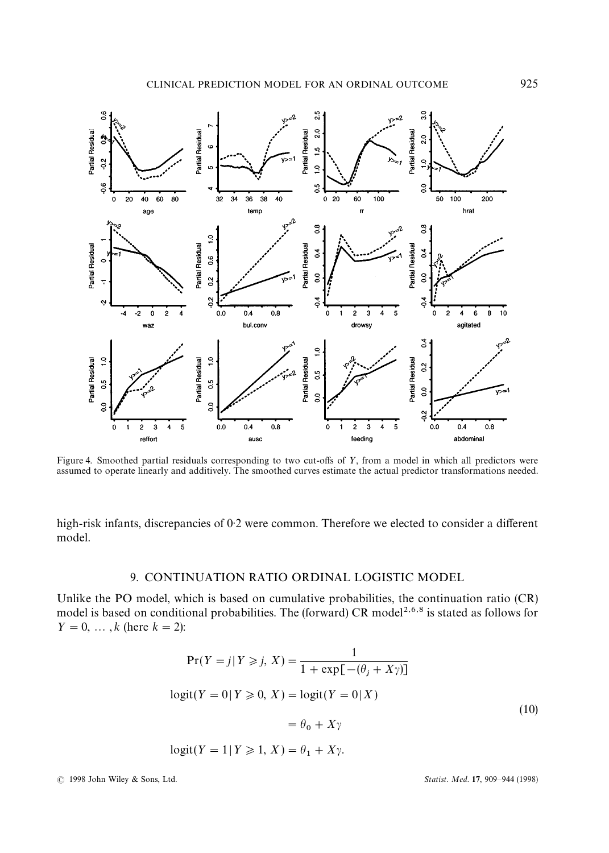

Figure 4. Smoothed partial residuals corresponding to two cut-offs of ½, from a model in which all predictors were assumed to operate linearly and additively. The smoothed curves estimate the actual predictor transformations needed.

high-risk infants, discrepancies of 0.2 were common. Therefore we elected to consider a different model.

# 9. CONTINUATION RATIO ORDINAL LOGISTIC MODEL

Unlike the PO model, which is based on cumulative probabilities, the continuation ratio (CR) model is based on conditional probabilities. The (forward) CR model<sup>2,6,8</sup> is stated as follows for  $Y = 0, \ldots, k$  (here  $k = 2$ ):

$$
Pr(Y = j | Y \ge j, X) = \frac{1}{1 + \exp[-(\theta_j + X\gamma)]}
$$
  

$$
logit(Y = 0 | Y \ge 0, X) = logit(Y = 0 | X)
$$
  

$$
= \theta_0 + X\gamma
$$
  

$$
logit(Y = 1 | Y \ge 1, X) = \theta_1 + X\gamma.
$$
 (10)

( 1998 John Wiley & Sons, Ltd. *Statist*. *Med*. 17, 909*—*944 (1998)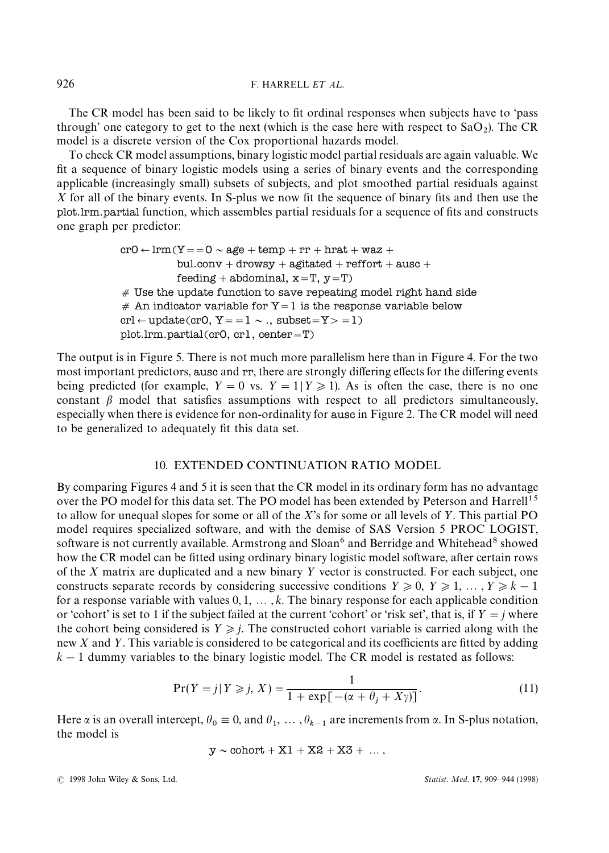The CR model has been said to be likely to fit ordinal responses when subjects have to 'pass through' one category to get to the next (which is the case here with respect to  $SaO_2$ ). The CR model is a discrete version of the Cox proportional hazards model.

To check CR model assumptions, binary logistic model partial residuals are again valuable. We fit a sequence of binary logistic models using a series of binary events and the corresponding applicable (increasingly small) subsets of subjects, and plot smoothed partial residuals against *X* for all of the binary events. In S-plus we now fit the sequence of binary fits and then use the plot.lrm.partial function, which assembles partial residuals for a sequence of fits and constructs one graph per predictor:

> $cr0 \leftarrow \text{lrm}(Y == 0 \sim age + temp + rr + hrat + waz +$ bul.conv + drowsy + agitated + reffort + ausc + feeding + abdominal,  $x = T$ ,  $y = T$ )  $#$  Use the update function to save repeating model right hand side  $#$  An indicator variable for Y = 1 is the response variable below  $crl \leftarrow update (cr0, Y = 1 \sim ., subset = Y > 1)$  $plot.lrm.partial(cr0, cr1, center = T)$

The output is in Figure 5. There is not much more parallelism here than in Figure 4. For the two most important predictors, ausc and rr, there are strongly differing effects for the differing events being predicted (for example,  $Y = 0$  vs.  $Y = 1 | Y \ge 1$ ). As is often the case, there is no one constant  $\beta$  model that satisfies assumptions with respect to all predictors simultaneously, especially when there is evidence for non-ordinality for ausc in Figure 2. The CR model will need to be generalized to adequately fit this data set.

#### 10. EXTENDED CONTINUATION RATIO MODEL

By comparing Figures 4 and 5 it is seen that the CR model in its ordinary form has no advantage over the PO model for this data set. The PO model has been extended by Peterson and Harrell<sup>15</sup> to allow for unequal slopes for some or all of the *X*'s for some or all levels of ½. This partial PO model requires specialized software, and with the demise of SAS Version 5 PROC LOGIST, software is not currently available. Armstrong and Sloan<sup>6</sup> and Berridge and Whitehead<sup>8</sup> showed how the CR model can be fitted using ordinary binary logistic model software, after certain rows of the *X* matrix are duplicated and a new binary ½ vector is constructed. For each subject, one constructs separate records by considering successive conditions  $Y \ge 0, Y \ge 1, \ldots, Y \ge k-1$ for a response variable with values  $0, 1, \ldots, k$ . The binary response for each applicable condition or 'cohort' is set to 1 if the subject failed at the current 'cohort' or 'risk set', that is, if  $Y = j$  where the cohort being considered is  $Y \ge j$ . The constructed cohort variable is carried along with the new *X* and ½. This variable is considered to be categorical and its coefficients are fitted by adding  $k-1$  dummy variables to the binary logistic model. The CR model is restated as follows:

$$
\Pr(Y = j | Y \ge j, X) = \frac{1}{1 + \exp[-(\alpha + \theta_j + X\gamma)]}.
$$
\n(11)

Here  $\alpha$  is an overall intercept,  $\theta_0 \equiv 0$ , and  $\theta_1, \ldots, \theta_{k-1}$  are increments from  $\alpha$ . In S-plus notation, the model is

$$
y \sim \text{cohort} + X1 + X2 + X3 + \dots,
$$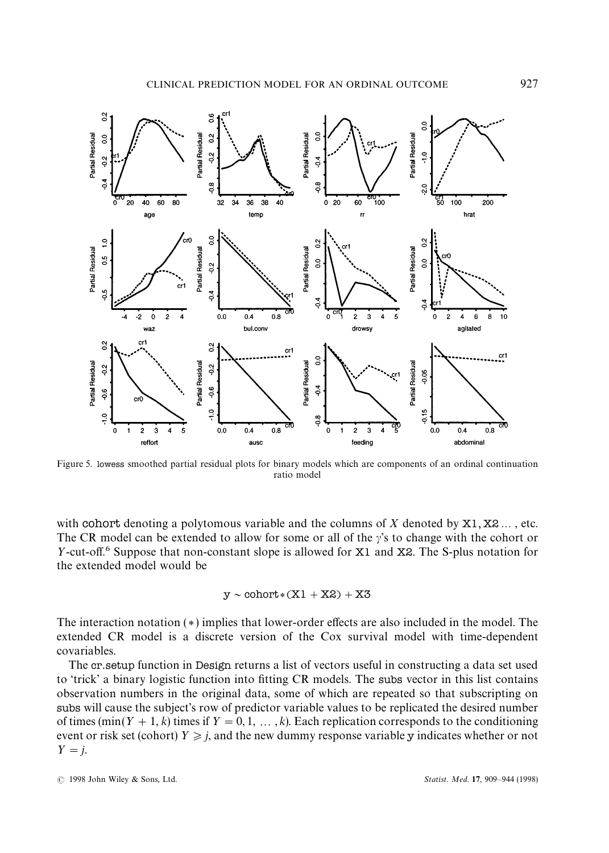

Figure 5. lowess smoothed partial residual plots for binary models which are components of an ordinal continuation ratio model

with cohort denoting a polytomous variable and the columns of  $X$  denoted by  $X1, X2, \ldots$ , etc. The CR model can be extended to allow for some or all of the  $\gamma$ 's to change with the cohort or ½-cut-off.6 Suppose that non-constant slope is allowed for X1 and X2. The S-plus notation for the extended model would be

#### $y \sim \text{cohort}*(X1 + X2) + X3$

The interaction notation ( *\**) implies that lower-order effects are also included in the model. The extended CR model is a discrete version of the Cox survival model with time-dependent covariables.

The cr.setup function in Design returns a list of vectors useful in constructing a data set used to 'trick' a binary logistic function into fitting CR models. The subs vector in this list contains observation numbers in the original data, some of which are repeated so that subscripting on subs will cause the subject's row of predictor variable values to be replicated the desired number of times (min( $Y + 1$ , k) times if  $Y = 0, 1, \ldots, k$ ). Each replication corresponds to the conditioning event or risk set (cohort)  $Y \ge j$ , and the new dummy response variable y indicates whether or not  $Y = j$ .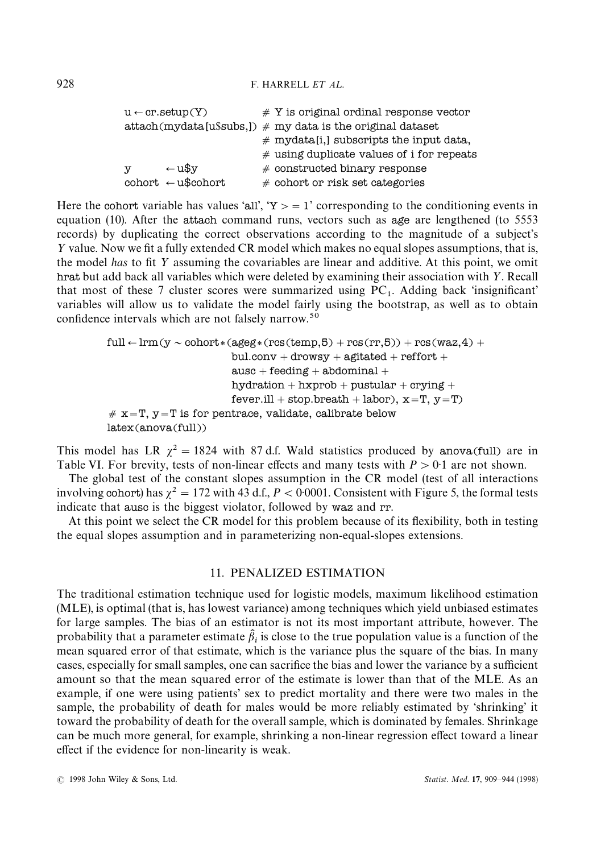#### 928 F. HARRELL *ET AL*,

| $u \leftarrow cr.setup(Y)$ |                               | $#$ Y is original ordinal response vector                    |
|----------------------------|-------------------------------|--------------------------------------------------------------|
|                            |                               | $attach(mydata[u$$subs.])$ # my data is the original dataset |
|                            |                               | $#$ mydata[i,] subscripts the input data,                    |
|                            |                               | $#$ using duplicate values of i for repeats                  |
| $\mathbf{v}$               | ← u\$v                        | $#$ constructed binary response                              |
|                            | cohort $\leftarrow$ u\$cohort | $#$ cohort or risk set categories                            |

Here the cohort variable has values 'all', ' $Y > 1$ ' corresponding to the conditioning events in equation (10). After the attach command runs, vectors such as age are lengthened (to 5553 records) by duplicating the correct observations according to the magnitude of a subject's ½ value. Now we fit a fully extended CR model which makes no equal slopes assumptions, that is, the model *has* to fit ½ assuming the covariables are linear and additive. At this point, we omit hrat but add back all variables which were deleted by examining their association with ½. Recall that most of these 7 cluster scores were summarized using PC<sup>1</sup> . Adding back 'insignificant' variables will allow us to validate the model fairly using the bootstrap, as well as to obtain confidence intervals which are not falsely narrow.<sup>50</sup>

```
full \leftarrow lrm(y \sim cohort * (ageg * (rcs(temp,5) + rcs(rr,5)) + rcs(waz,4) +bul.comv + dropsy + agitated + reffort +ausc + feeding + abdominal +
                        hydration + hxprob + pustular + crying +fever.ill + stop.breath + labor), x = T, y = T)
# x=T, y=T is for pentrace, validate, calibrate below
latex(anova(full))
```
This model has LR  $\gamma^2 = 1824$  with 87 d.f. Wald statistics produced by anova(full) are in Table VI. For brevity, tests of non-linear effects and many tests with  $P > 0.1$  are not shown.

The global test of the constant slopes assumption in the CR model (test of all interactions involving cohort) has  $\gamma^2 = 172$  with 43 d.f.,  $P < 0.0001$ . Consistent with Figure 5, the formal tests indicate that ausc is the biggest violator, followed by waz and rr.

At this point we select the CR model for this problem because of its flexibility, both in testing the equal slopes assumption and in parameterizing non-equal-slopes extensions.

#### 11. PENALIZED ESTIMATION

The traditional estimation technique used for logistic models, maximum likelihood estimation (MLE), is optimal (that is, has lowest variance) among techniques which yield unbiased estimates for large samples. The bias of an estimator is not its most important attribute, however. The probability that a parameter estimate  $\hat{\beta}_i$  is close to the true population value is a function of the mean squared error of that estimate, which is the variance plus the square of the bias. In many cases, especially for small samples, one can sacrifice the bias and lower the variance by a sufficient amount so that the mean squared error of the estimate is lower than that of the MLE. As an example, if one were using patients' sex to predict mortality and there were two males in the sample, the probability of death for males would be more reliably estimated by 'shrinking' it toward the probability of death for the overall sample, which is dominated by females. Shrinkage can be much more general, for example, shrinking a non-linear regression effect toward a linear effect if the evidence for non-linearity is weak.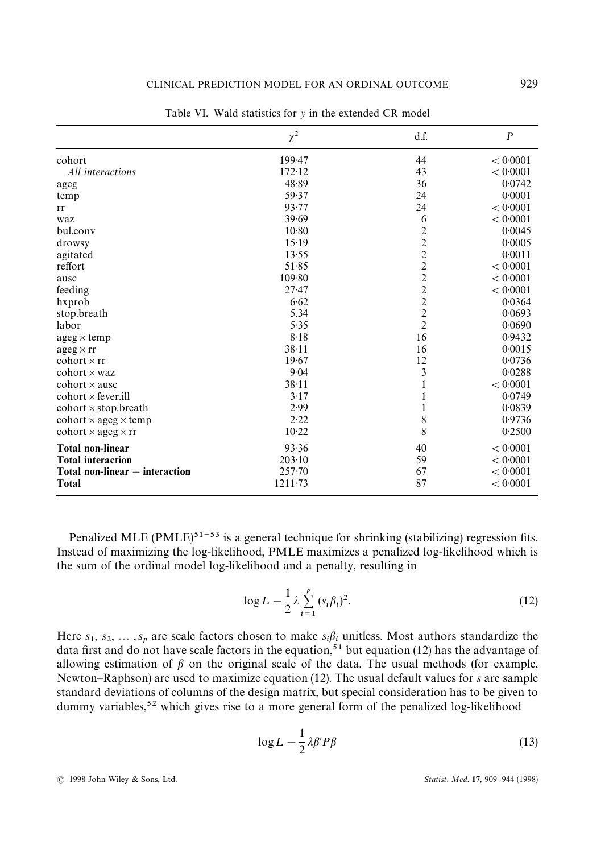|                                                   | $\chi^2$    | d.f.           | $\boldsymbol{P}$ |
|---------------------------------------------------|-------------|----------------|------------------|
| cohort                                            | 199.47      | 44             | < 0.0001         |
| All interactions                                  | 172.12      | 43             | < 0.0001         |
| ageg                                              | 48.89       | 36             | 0.0742           |
| temp                                              | 59.37       | 24             | 0.0001           |
| rr                                                | 93.77       | 24             | < 0.0001         |
| waz                                               | 39.69       | 6              | < 0.0001         |
| bul.conv                                          | 10.80       | $\overline{c}$ | 0.0045           |
| drowsy                                            | 15.19       | $\overline{c}$ | 0.0005           |
| agitated                                          | 13.55       | $\overline{c}$ | 0.0011           |
| reffort                                           | 51.85       | $\overline{c}$ | < 0.0001         |
| ausc                                              | 109.80      | $\overline{c}$ | < 0.0001         |
| feeding                                           | 27.47       | $\overline{c}$ | < 0.0001         |
| hxprob                                            | 6.62        |                | 0.0364           |
| stop.breath                                       | 5.34        | $\frac{2}{2}$  | 0.0693           |
| labor                                             | 5.35        | $\overline{c}$ | 0.0690           |
| $ageg \times temp$                                | 8.18        | 16             | 0.9432           |
| $ageg \times rr$                                  | 38.11       | 16             | 0.0015           |
| $\text{cohort} \times \text{rr}$                  | 19.67       | 12             | 0.0736           |
| $\text{cohort} \times \text{waz}$                 | 9.04        | 3              | 0.0288           |
| $\text{cohort} \times \text{ause}$                | 38.11       | 1              | < 0.0001         |
| $\text{cohort} \times \text{fever.ill}$           | 3.17        | 1              | 0.0749           |
| $\text{cohort} \times \text{stop.} \text{breakh}$ | 2.99        | 1              | 0.0839           |
| cohort $\times$ ageg $\times$ temp                | 2.22        | 8              | 0.9736           |
| cohort $\times$ ageg $\times$ rr                  | $10-22$     | 8              | 0.2500           |
| <b>Total non-linear</b>                           | 93.36       | 40             | < 0.0001         |
| <b>Total interaction</b>                          | 203.10      | 59             | < 0.0001         |
| Total non-linear $+$ interaction                  | $257 - 70$  | 67             | < 0.0001         |
| <b>Total</b>                                      | $1211 - 73$ | 87             | < 0.0001         |

Table VI. Wald statistics for *y* in the extended CR model

Penalized MLE  $(PMLE)^{51-53}$  is a general technique for shrinking (stabilizing) regression fits. Instead of maximizing the log-likelihood, PMLE maximizes a penalized log-likelihood which is the sum of the ordinal model log-likelihood and a penalty, resulting in

$$
\log L - \frac{1}{2} \lambda \sum_{i=1}^{p} (s_i \beta_i)^2.
$$
 (12)

Here  $s_1, s_2, \ldots, s_p$  are scale factors chosen to make  $s_i\beta_i$  unitless. Most authors standardize the data first and do not have scale factors in the equation,<sup>51</sup> but equation (12) has the advantage of allowing estimation of  $\beta$  on the original scale of the data. The usual methods (for example, Newton*—*Raphson) are used to maximize equation (12). The usual default values for *s* are sample standard deviations of columns of the design matrix, but special consideration has to be given to dummy variables,<sup>52</sup> which gives rise to a more general form of the penalized log-likelihood

$$
\log L - \frac{1}{2} \lambda \beta' P \beta \tag{13}
$$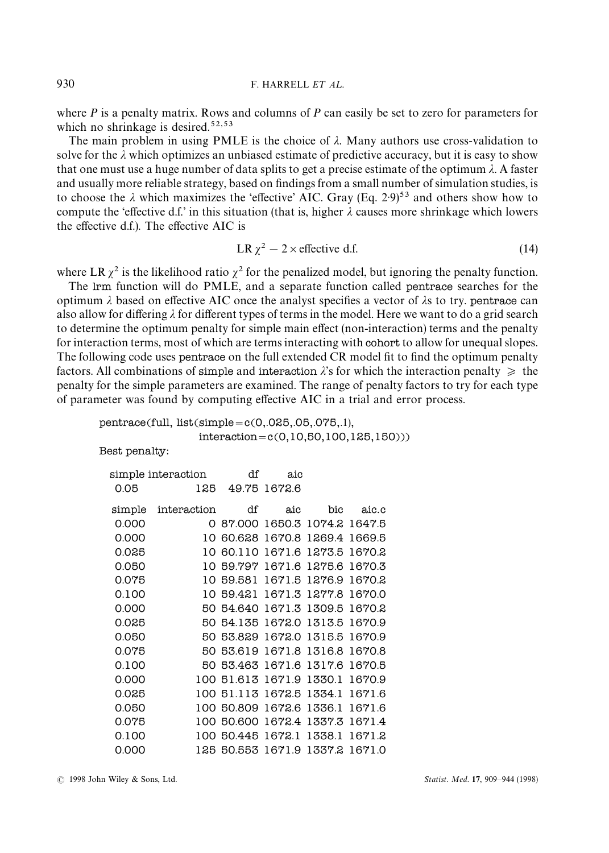where *P* is a penalty matrix. Rows and columns of *P* can easily be set to zero for parameters for which no shrinkage is desired.<sup>52,53</sup>

The main problem in using PMLE is the choice of  $\lambda$ . Many authors use cross-validation to solve for the  $\lambda$  which optimizes an unbiased estimate of predictive accuracy, but it is easy to show that one must use a huge number of data splits to get a precise estimate of the optimum  $\lambda$ . A faster and usually more reliable strategy, based on findings from a small number of simulation studies, is to choose the  $\lambda$  which maximizes the 'effective' AIC. Gray (Eq. 2.9)<sup>53</sup> and others show how to compute the 'effective d.f.' in this situation (that is, higher  $\lambda$  causes more shrinkage which lowers the effective d.f.). The effective AIC is

$$
LR \chi^2 - 2 \times effective \text{ d.f.}
$$
 (14)

where LR  $\chi^2$  is the likelihood ratio  $\chi^2$  for the penalized model, but ignoring the penalty function.

The lrm function will do PMLE, and a separate function called pentrace searches for the optimum  $\lambda$  based on effective AIC once the analyst specifies a vector of  $\lambda$ s to try. pentrace can also allow for differing  $\lambda$  for different types of terms in the model. Here we want to do a grid search to determine the optimum penalty for simple main effect (non-interaction) terms and the penalty for interaction terms, most of which are terms interacting with cohort to allow for unequal slopes. The following code uses pentrace on the full extended CR model fit to find the optimum penalty factors. All combinations of simple and interaction  $\lambda$ 's for which the interaction penalty  $\geq$  the penalty for the simple parameters are examined. The range of penalty factors to try for each type of parameter was found by computing effective AIC in a trial and error process.

 $pentrace(full, list(simple = c(0.025.05.075.1)),$  $interaction = c(0,10,50,100,125,150))$ 

Best penalty:

|       | simple interaction | df                              | aic |               |  |
|-------|--------------------|---------------------------------|-----|---------------|--|
| 0.05  |                    | 125 49.75 1672.6                |     |               |  |
|       | simple interaction | df                              |     | aic bic aic.c |  |
| 0.000 |                    | 0 87.000 1650.3 1074.2 1647.5   |     |               |  |
| 0.000 |                    | 10 60.628 1670.8 1269.4 1669.5  |     |               |  |
| 0.025 |                    | 10 60.110 1671.6 1273.5 1670.2  |     |               |  |
| 0.050 |                    | 10 59.797 1671.6 1275.6 1670.3  |     |               |  |
| 0.075 |                    | 10 59.581 1671.5 1276.9 1670.2  |     |               |  |
| 0.100 |                    | 10 59.421 1671.3 1277.8 1670.0  |     |               |  |
| 0.000 |                    | 50 54.640 1671.3 1309.5 1670.2  |     |               |  |
| 0.025 |                    | 50 54.135 1672.0 1313.5 1670.9  |     |               |  |
| 0.050 |                    | 50 53.829 1672.0 1315.5 1670.9  |     |               |  |
| 0.075 |                    | 50 53.619 1671.8 1316.8 1670.8  |     |               |  |
| 0.100 |                    | 50 53.463 1671.6 1317.6 1670.5  |     |               |  |
| 0.000 |                    | 100 51.613 1671.9 1330.1 1670.9 |     |               |  |
| 0.025 |                    | 100 51.113 1672.5 1334.1 1671.6 |     |               |  |
| 0.050 |                    | 100 50.809 1672.6 1336.1 1671.6 |     |               |  |
| 0.075 |                    | 100 50.600 1672.4 1337.3 1671.4 |     |               |  |
| 0.100 |                    | 100 50.445 1672.1 1338.1 1671.2 |     |               |  |
| 0.000 |                    | 125 50.553 1671.9 1337.2 1671.0 |     |               |  |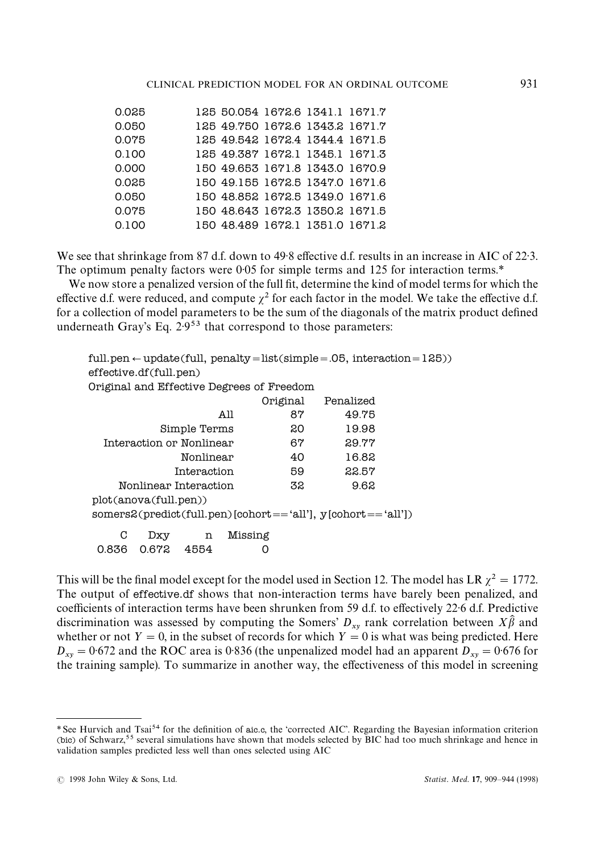| 0.025 | 125 50.054 1672.6 1341.1 1671.7 |  |  |
|-------|---------------------------------|--|--|
| 0.050 | 125 49.750 1672.6 1343.2 1671.7 |  |  |
| 0.075 | 125 49.542 1672.4 1344.4 1671.5 |  |  |
| 0.100 | 125 49.387 1672.1 1345.1 1671.3 |  |  |
| 0.000 | 150 49.653 1671.8 1343.0 1670.9 |  |  |
| 0.025 | 150 49.155 1672.5 1347.0 1671.6 |  |  |
| 0.050 | 150 48.852 1672.5 1349.0 1671.6 |  |  |
| 0.075 | 150 48.643 1672.3 1350.2 1671.5 |  |  |
| 0.100 | 150 48.489 1672.1 1351.0 1671.2 |  |  |

We see that shrinkage from 87 d.f. down to 49.8 effective d.f. results in an increase in AIC of 22.3. The optimum penalty factors were 0.05 for simple terms and 125 for interaction terms.<sup>\*</sup>

We now store a penalized version of the full fit, determine the kind of model terms for which the effective d.f. were reduced, and compute  $\chi^2$  for each factor in the model. We take the effective d.f. for a collection of model parameters to be the sum of the diagonals of the matrix product defined underneath Gray's Eq.  $2.953$  that correspond to those parameters:

| full.pen $\leftarrow$ update(full, penalty = list(simple = 05, interaction = 125)) |       |                       |         |    |                                                                   |  |  |
|------------------------------------------------------------------------------------|-------|-----------------------|---------|----|-------------------------------------------------------------------|--|--|
| effective.df(full.pen)                                                             |       |                       |         |    |                                                                   |  |  |
| Original and Effective Degrees of Freedom                                          |       |                       |         |    |                                                                   |  |  |
| Original                                                                           |       |                       |         |    | Penalized                                                         |  |  |
| All                                                                                |       |                       |         | 87 | 49.75                                                             |  |  |
| Simple Terms                                                                       |       |                       |         |    | 19.98                                                             |  |  |
| Interaction or Nonlinear                                                           |       |                       |         | 67 | 29.77                                                             |  |  |
| Nonlinear                                                                          |       |                       |         | 40 | 16.82                                                             |  |  |
| Interaction                                                                        |       |                       |         | 59 | 22.57                                                             |  |  |
|                                                                                    |       | Nonlinear Interaction |         | 32 | 9.62                                                              |  |  |
| plot(anova(full.pen))                                                              |       |                       |         |    |                                                                   |  |  |
|                                                                                    |       |                       |         |    | $somers2(predict(full.pen)[cohort == 'all'], y[cohort == 'all'])$ |  |  |
| C                                                                                  |       |                       |         |    |                                                                   |  |  |
|                                                                                    | Dxy   | n                     | Missing |    |                                                                   |  |  |
| 0.836                                                                              | 0.672 | 4554                  | 0       |    |                                                                   |  |  |

This will be the final model except for the model used in Section 12. The model has LR  $\chi^2 = 1772$ . The output of effective.df shows that non-interaction terms have barely been penalized, and coefficients of interaction terms have been shrunken from 59 d.f. to effectively 22.6 d.f. Predictive discrimination was assessed by computing the Somers'  $D_{xy}$  rank correlation between  $X\hat{\beta}$  and whether or not  $Y = 0$ , in the subset of records for which  $Y = 0$  is what was being predicted. Here  $D_{xy} = 0.672$  and the ROC area is 0.836 (the unpenalized model had an apparent  $D_{xy} = 0.676$  for the training sample). To summarize in another way, the effectiveness of this model in screening

*<sup>\*</sup>* See Hurvich and Tsai54 for the definition of aic.c, the 'corrected AIC'. Regarding the Bayesian information criterion (bic) of Schwarz,55 several simulations have shown that models selected by BIC had too much shrinkage and hence in validation samples predicted less well than ones selected using AIC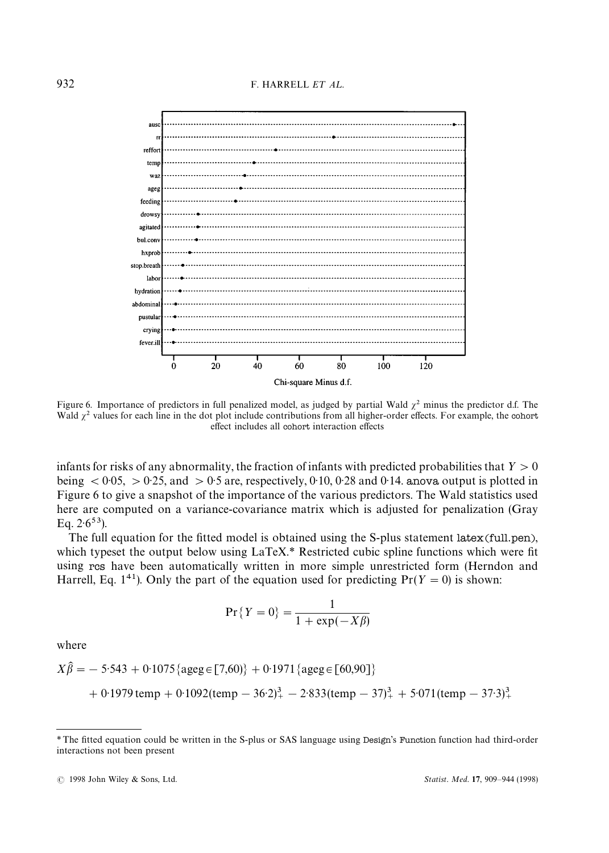

Figure 6. Importance of predictors in full penalized model, as judged by partial Wald  $\chi^2$  minus the predictor d.f. The Wald  $\gamma^2$  values for each line in the dot plot include contributions from all higher-order effects. For example, the cohort effect includes all cohort interaction effects

infants for risks of any abnormality, the fraction of infants with predicted probabilities that  $Y > 0$ being  $< 0.05$ ,  $> 0.25$ , and  $> 0.5$  are, respectively, 0.10, 0.28 and 0.14. anova output is plotted in Figure 6 to give a snapshot of the importance of the various predictors. The Wald statistics used here are computed on a variance-covariance matrix which is adjusted for penalization (Gray Eq.  $2.6^{53}$ ).

The full equation for the fitted model is obtained using the S-plus statement latex(full.pen), which typeset the output below using LaTeX.*\** Restricted cubic spline functions which were fit using rcs have been automatically written in more simple unrestricted form (Herndon and Harrell, Eq. 1<sup>41</sup>). Only the part of the equation used for predicting  $Pr(Y = 0)$  is shown:

$$
\Pr\{Y=0\} = \frac{1}{1 + \exp(-X\beta)}
$$

where

$$
X\hat{\beta} = -5.543 + 0.1075 \{ \text{ageg} \in [7,60) \} + 0.1971 \{ \text{ageg} \in [60,90] \}
$$
  
+ 0.1979 temp + 0.1092 (temp - 36.2)<sup>3</sup><sub>+</sub> - 2.833 (temp - 37)<sup>3</sup><sub>+</sub> + 5.071 (temp - 37.3)<sup>3</sup><sub>+</sub>

*<sup>\*</sup>*The fitted equation could be written in the S-plus or SAS language using Design's Function function had third-order interactions not been present

<sup>(</sup> 1998 John Wiley & Sons, Ltd. *Statist*. *Med*. 17, 909*—*944 (1998)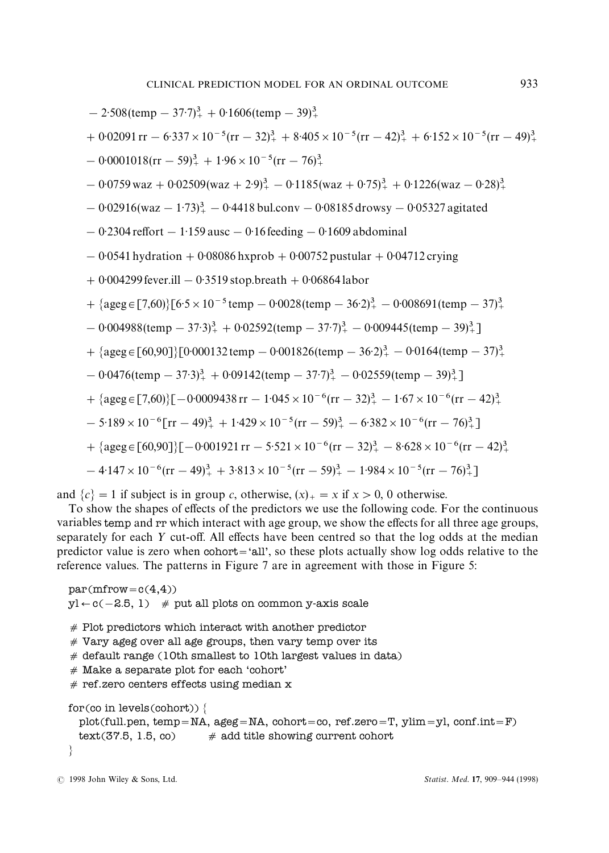$$
-2.508(\text{temp} - 37.7)^3_{+} + 0.1606(\text{temp} - 39)^3_{+}
$$

$$
- 2308 \text{(temp)} - 377 \text{ + } 9300 \text{(temp)} - 39 \text{ +}
$$
  
+ 0.02091 \text{ tr} - 6.337 × 10<sup>-5</sup> (rr - 32)<sup>3</sup>/<sub>7</sub> + 8.405 × 10<sup>-5</sup> (rr - 42)<sup>3</sup>/<sub>7</sub> + 6.152 × 10<sup>-5</sup> (rr - 49)<sup>3</sup>/<sub>7</sub>

$$
+ 0.0209111 - 0.337 \times 10^{20} \text{ (11 } - 32\text{)} + 6.403 \times 10^{20} \text{ (1)}
$$
  
- 0.0001018 (rr - 59)<sup>3</sup><sub>+</sub> + 1.96 × 10<sup>-5</sup> (rr - 76)<sup>3</sup><sub>+</sub>

 $1 - 0.0759$  waz  $+ 0.02509$  (waz  $+ 2.9)^3$ ,  $- 0.1185$  (waz  $+ 0.75)^3$ ,  $+ 0.1226$  (waz  $- 0.28)^3$ ,

$$
-0.02916(waz-1.73)^3_+ - 0.4418 \text{ bul.} \text{conv} - 0.08185 \text{ dropsy} - 0.05327 \text{ agitated}
$$

- $-0.2304$  reffort  $-1.159$  ausc  $-0.16$  feeding  $-0.1609$  abdominal
- $-0.0541$  hydration  $+0.08086$  hxprob  $+0.00752$  pustular  $+0.04712$  crying

$$
+ 0.004299
$$
 fever.ill  $- 0.3519$  stop. breath  $+ 0.06864$  labor

- + 0.004299 lever.in = 0.3319 stop.organr + 0.00804 labor<br>+ {ageg  $\epsilon$  [7,60)}[6.5 × 10<sup>-5</sup> temp = 0.0028(temp = 36.2)<sup>3</sup><sub>+</sub> = 0.008691(temp = 37)<sup>3</sup><sub>+</sub>
- $1 0.004988$ (temp  $37.3$ )<sup>3</sup> + 0.02592(temp  $37.7$ )<sup>3</sup> 0.009445(temp  $39$ )<sup>3</sup> +
- + {ageg  $\in [60, 90]$ }[0·000132 temp 0·001826(temp 36·2)<sup>3</sup><sub>+</sub> 0·0164(temp 37)<sup>3</sup><sub>+</sub>

$$
-0.0476(\text{temp} - 37.3)^3 + 0.09142(\text{temp} - 37.7)^3 + 0.02559(\text{temp} - 39)^3 + 1
$$

$$
- 0.0476(\text{temp} - 37.3)^3 + 0.09142(\text{temp} - 37.7)^3 + 0.02559(\text{temp} - 39)^3 +
$$
  
+ {ageg \in [7,60)}[-0.0009438rr - 1.045 × 10<sup>-6</sup>(rr - 32)<sup>3</sup>/<sub>+</sub> - 1.67 × 10<sup>-6</sup>(rr - 42)<sup>3</sup>/<sub>+</sub>

$$
+ \{ \text{ageg} \in [7,007] - 0.000943811 - 1.043 \times 10^{-1} (11 - 32) + (-1.07 \times 10^{-1} (11 - 31)) \}
$$
  
- 5.189 × 10<sup>-6</sup> [rr - 49]<sup>3</sup> + 1.429 × 10<sup>-5</sup> (rr - 59)<sup>3</sup> - 6.382 × 10<sup>-6</sup> (rr - 76)<sup>3</sup>]<sup>-1</sup>

$$
-5.189 \times 10^{-1} \text{ [11 } -49\text{],} +1.429 \times 10^{-1} \text{ (11 } -59\text{],} -0.582 \times 10^{-1} \text{ (11 } -10\text{),}]
$$
  
+ {ageg \in [60,90]} [-0.001921 \text{ tr} - 5.521 \times 10^{-6} \text{ (rr} - 32)] + 8.628 \times 10^{-6} \text{ (rr} - 42\text{),}

+ {
$$
agege[60,90]
$$
}[-0.00192111 - 3.321 × 10 (11 - 32) $+$  - 6.028 × 10 (11 -  
- 4.147 × 10<sup>-6</sup>(rr - 49) $+$  + 3.813 × 10<sup>-5</sup>(rr - 59) $+$  - 1.984 × 10<sup>-5</sup>(rr - 76) $+$ ]

and  $\{c\} = 1$  if subject is in group *c*, otherwise,  $(x)_+ = x$  if  $x > 0$ , 0 otherwise.

To show the shapes of effects of the predictors we use the following code. For the continuous variables temp and rr which interact with age group, we show the effects for all three age groups, separately for each Y cut-off. All effects have been centred so that the log odds at the median predictor value is zero when cohort='all', so these plots actually show log odds relative to the reference values. The patterns in Figure 7 are in agreement with those in Figure 5:

```
par(mfrow=c(4,4))yl \leftarrow c(-2.5, 1) # put all plots on common y-axis scale
```
 $#$  Plot predictors which interact with another predictor

 $#$  Vary ageg over all age groups, then vary temp over its

 $#$  default range (10th smallest to 10th largest values in data)

- $#$  Make a separate plot for each 'cohort'
- $#$  ref.zero centers effects using median x

```
for(co in levels(cohort)) \{plot(full.pen, temp=NA, ageg=NA, cohort=co, ref.zero=T, ylim=yl, conf.int=F)
 text(37.5, 1.5, co) # add title showing current cohort
N
```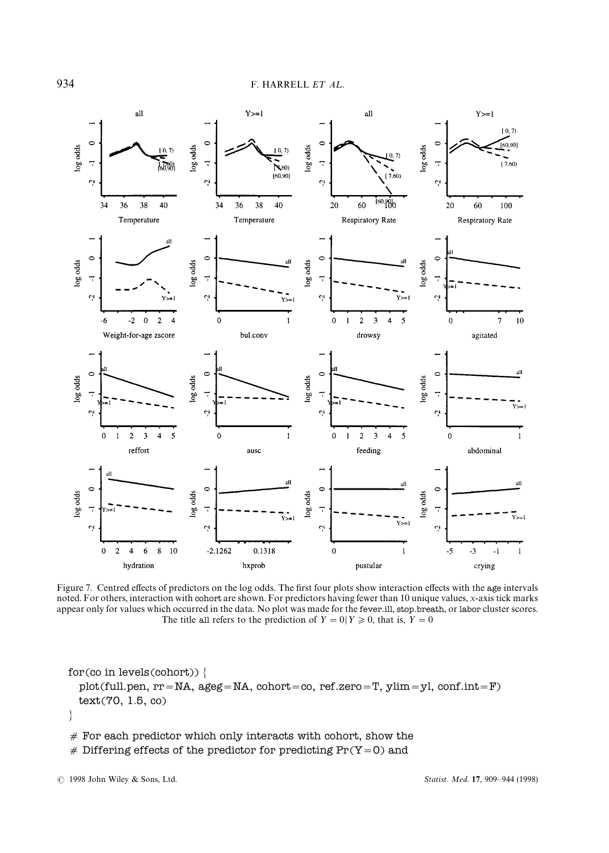

Figure 7. Centred effects of predictors on the log odds. The first four plots show interaction effects with the age intervals noted. For others, interaction with cohort are shown. For predictors having fewer than 10 unique values, *x*-axis tick marks appear only for values which occurred in the data. No plot was made for the fever.ill, stop.breath, or labor cluster scores. The title all refers to the prediction of  $Y = 0 | Y \ge 0$ , that is,  $Y = 0$ 

 $for (co in levels (cohort))$   $\{$ plot(full.pen,  $rr = NA$ ,  $ageg = NA$ ,  $cohort = co$ ,  $ref.zero = T$ ,  $ylim = yl$ ,  $conf.int = F$ ) text(70, 1.5, co) N

 $#$  For each predictor which only interacts with cohort, show the  $#$  Differing effects of the predictor for predicting Pr(Y=0) and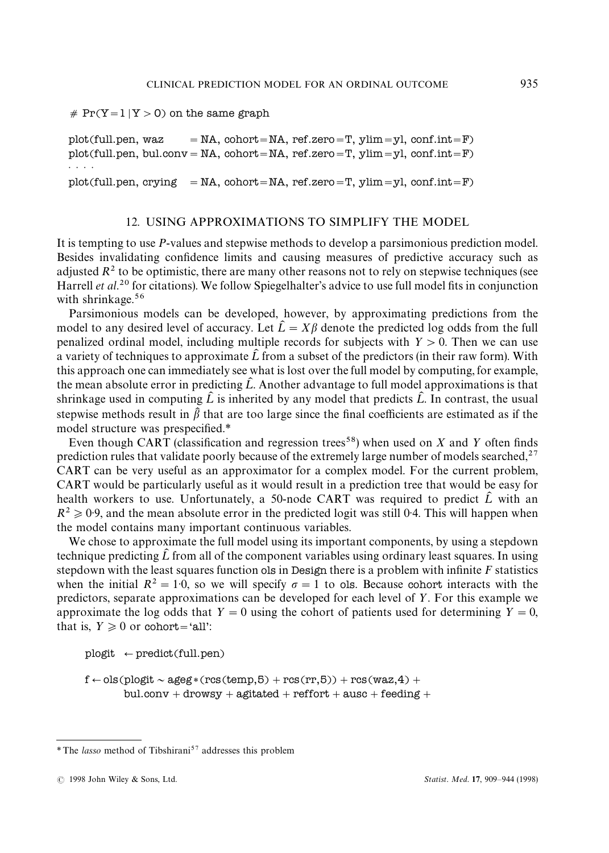$# Pr(Y=1 | Y > 0)$  on the same graph

```
plot(full.pen, waz = NA, cohort=NA, ref.zero=T, ylim=yl, conf.int=F)
plot(full.pen, bul.conv = NA, cohort = NA, ref.zero = T, ylim = yl, conf.int = F)
))))
plot(full.pen, crying = NA, cohort=NA, ref.zero=T, ylim=yl, conf.int=F)
```
#### 12. USING APPROXIMATIONS TO SIMPLIFY THE MODEL

It is tempting to use *P*-values and stepwise methods to develop a parsimonious prediction model. Besides invalidating confidence limits and causing measures of predictive accuracy such as adjusted  $R<sup>2</sup>$  to be optimistic, there are many other reasons not to rely on stepwise techniques (see Harrell *et al.*<sup>20</sup> for citations). We follow Spiegelhalter's advice to use full model fits in conjunction with shrinkage.<sup>56</sup>

Parsimonious models can be developed, however, by approximating predictions from the model to any desired level of accuracy. Let  $\hat{L} = X\beta$  denote the predicted log odds from the full penalized ordinal model, including multiple records for subjects with  $Y > 0$ . Then we can use a variety of techniques to approximate  $\hat{L}$  from a subset of the predictors (in their raw form). With this approach one can immediately see what is lost over the full model by computing, for example, the mean absolute error in predicting  $\hat{L}$ . Another advantage to full model approximations is that shrinkage used in computing  $\hat{L}$  is inherited by any model that predicts  $\hat{L}$ . In contrast, the usual stepwise methods result in  $\hat{\beta}$  that are too large since the final coefficients are estimated as if the model structure was prespecified.*\**

Even though CART (classification and regression trees<sup>58</sup>) when used on *X* and *Y* often finds prediction rules that validate poorly because of the extremely large number of models searched, $2^7$ CART can be very useful as an approximator for a complex model. For the current problem, CART would be particularly useful as it would result in a prediction tree that would be easy for health workers to use. Unfortunately, a 50-node CART was required to predict  $\hat{L}$  with an  $R^2 \geq 0.9$ , and the mean absolute error in the predicted logit was still 0.4. This will happen when the model contains many important continuous variables.

We chose to approximate the full model using its important components, by using a stepdown technique predicting  $\tilde{L}$  from all of the component variables using ordinary least squares. In using stepdown with the least squares function ols in Design there is a problem with infinite *F* statistics when the initial  $R^2 = 1.0$ , so we will specify  $\sigma = 1$  to ols. Because cohort interacts with the predictors, separate approximations can be developed for each level of ½. For this example we approximate the log odds that  $Y = 0$  using the cohort of patients used for determining  $Y = 0$ , that is,  $Y \ge 0$  or cohort='all':

```
plogit \leftarrow predict(full.pen)
```

```
f \leftarrowols(plogit \sim ageg*(rcs(temp,5) + rcs(rr,5)) + rcs(waz,4) +
        bul.comv + dropsy + agitated + reffort + ausc + feeding +
```
*<sup>\*</sup>*The *lasso* method of Tibshirani57 addresses this problem

<sup>(</sup> 1998 John Wiley & Sons, Ltd. *Statist*. *Med*. 17, 909*—*944 (1998)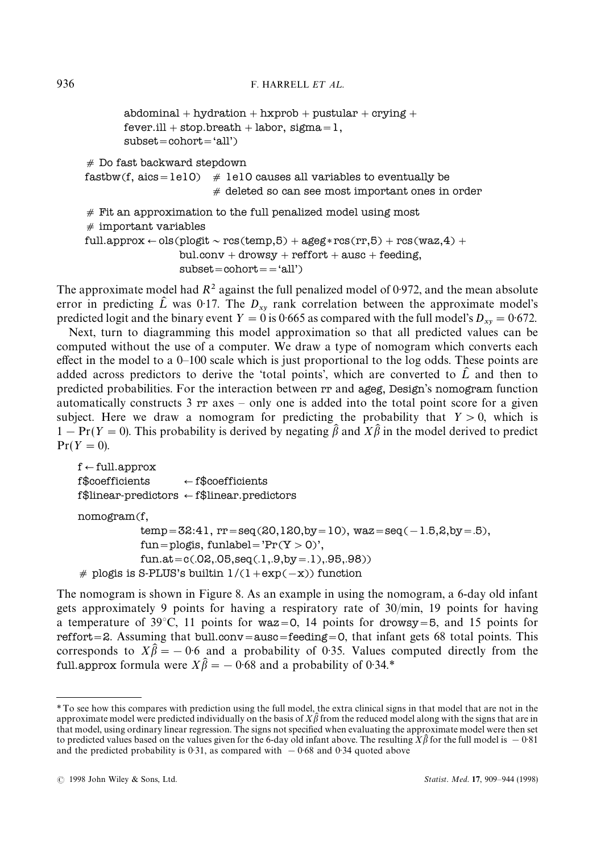```
abdominal + hydration + hxprob + pustular + crying +fever.ill + stop.breath + labor, sigma = 1,
subset = cohort = 'all')
```

```
# Do fast backward stepdown
```
fastbw(f, aics=1e10)  $\#$  1e10 causes all variables to eventually be  $#$  deleted so can see most important ones in order

```
# Fit an approximation to the full penalized model using most
# important variables
full.approx \leftarrow ols(plogit \sim rcs(temp,5) + ageg*rcs(rr,5) + rcs(waz,4) +
                   bul.conv + drowsy + reffort + ausc + feeding,
                   subset = \text{cohort} = \text{``all')}
```
The approximate model had  $R^2$  against the full penalized model of 0.972, and the mean absolute error in predicting  $\hat{L}$  was 0.17. The  $D_{xy}$  rank correlation between the approximate model's predicted logit and the binary event  $Y = 0$  is 0.665 as compared with the full model's  $D_{xy} = 0.672$ .

Next, turn to diagramming this model approximation so that all predicted values can be computed without the use of a computer. We draw a type of nomogram which converts each effect in the model to a 0*—*100 scale which is just proportional to the log odds. These points are added across predictors to derive the 'total points', which are converted to  $\hat{L}$  and then to predicted probabilities. For the interaction between rr and ageg, Design's nomogram function automatically constructs 3 rr axes *—* only one is added into the total point score for a given subject. Here we draw a nomogram for predicting the probability that  $Y > 0$ , which is  $1 - Pr(Y = 0)$ . This probability is derived by negating  $\hat{\beta}$  and  $X\hat{\beta}$  in the model derived to predict  $Pr(Y = 0)$ .

```
f \leftarrow full.appendf$coefficients \leftarrow f$coefficients
f$linear-predictors \leftarrow f$linear.predictors
nomogram(f,
            temp = 32:41, rr = seq(20,120,by = 10), waz = seq(-1.5,2,by = .5),
            fun = plogis, funlabel = 'Pr(Y > 0)',
            fun.at = c(.02,.05,seq(.1,.9,by=.1),.95,.98))\# plogis is S-PLUS's builtin 1/(1 + \exp(-x)) function
```
The nomogram is shown in Figure 8. As an example in using the nomogram, a 6-day old infant gets approximately 9 points for having a respiratory rate of 30/min, 19 points for having a temperature of  $39^{\circ}$ C, 11 points for waz = 0, 14 points for drowsy = 5, and 15 points for reffort=2. Assuming that bull.conv= $\alpha = \beta = 0$ , that infant gets 68 total points. This corresponds to  $X\hat{\beta} = -0.6$  and a probability of 0.35. Values computed directly from the full.approx formula were  $X\hat{\beta} = -0.68$  and a probability of 0.34.<sup>\*</sup>

*<sup>\*</sup>*To see how this compares with prediction using the full model, the extra clinical signs in that model that are not in the approximate model were predicted individually on the basis of  $X\hat{\beta}$  from the reduced model along with the signs that are in that model, using ordinary linear regression. The signs not specified when evaluating the approximate model were then set to predicted values based on the values given for the 6-day old infant above. The resulting  $\hat{X}\hat{\beta}$  for the full model is  $-0.81$ and the predicted probability is  $0.31$ , as compared with  $-0.68$  and  $0.34$  quoted above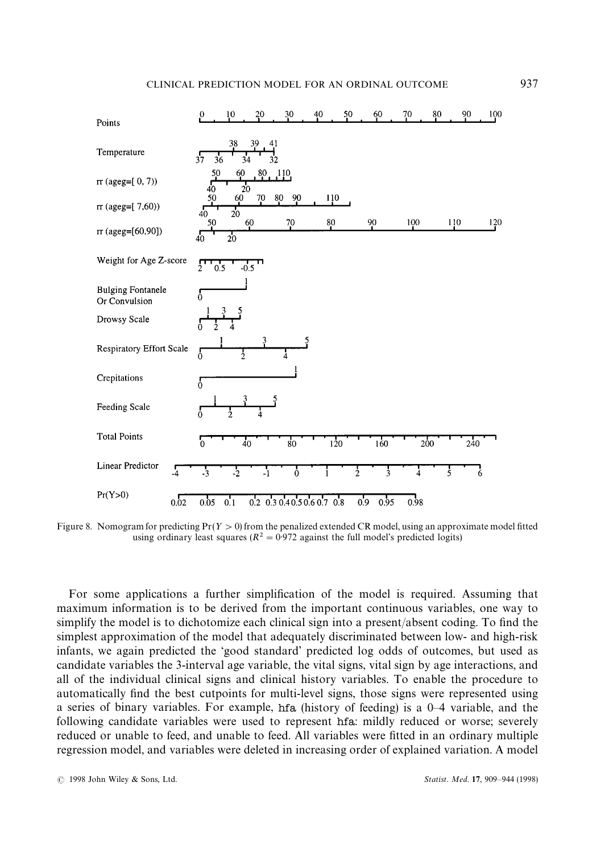

Figure 8. Nomogram for predicting  $Pr(Y > 0)$  from the penalized extended CR model, using an approximate model fitted using ordinary least squares ( $R^2 = 0.972$  against the full model's predicted logits)

For some applications a further simplification of the model is required. Assuming that maximum information is to be derived from the important continuous variables, one way to simplify the model is to dichotomize each clinical sign into a present/absent coding. To find the simplest approximation of the model that adequately discriminated between low- and high-risk infants, we again predicted the 'good standard' predicted log odds of outcomes, but used as candidate variables the 3-interval age variable, the vital signs, vital sign by age interactions, and all of the individual clinical signs and clinical history variables. To enable the procedure to automatically find the best cutpoints for multi-level signs, those signs were represented using a series of binary variables. For example, hfa (history of feeding) is a 0*—*4 variable, and the following candidate variables were used to represent hfa: mildly reduced or worse; severely reduced or unable to feed, and unable to feed. All variables were fitted in an ordinary multiple regression model, and variables were deleted in increasing order of explained variation. A model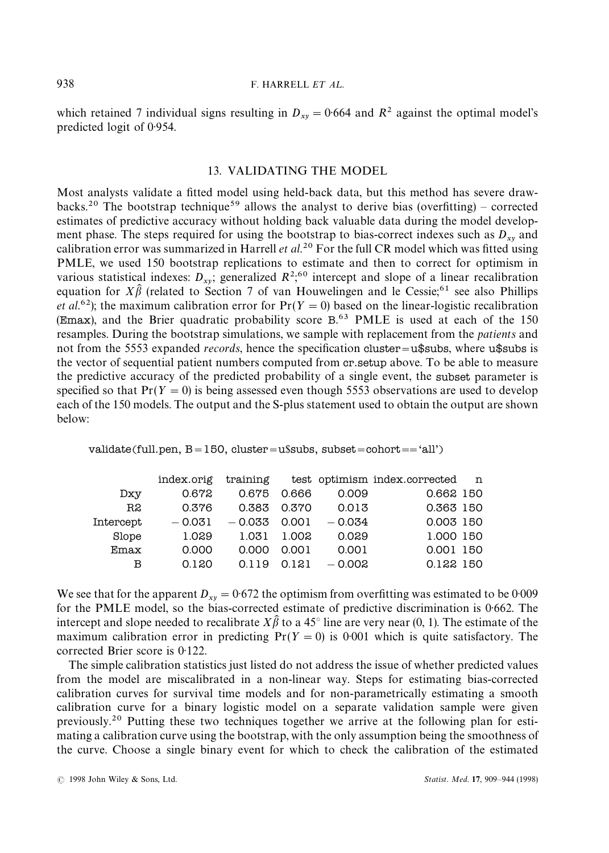which retained 7 individual signs resulting in  $D_{xy} = 0.664$  and  $R^2$  against the optimal model's predicted logit of 0)954.

#### 13. VALIDATING THE MODEL

Most analysts validate a fitted model using held-back data, but this method has severe drawbacks.20 The bootstrap technique59 allows the analyst to derive bias (overfitting) *—* corrected estimates of predictive accuracy without holding back valuable data during the model development phase. The steps required for using the bootstrap to bias-correct indexes such as  $D_{xy}$  and calibration error was summarized in Harrell *et al*.20 For the full CR model which was fitted using PMLE, we used 150 bootstrap replications to estimate and then to correct for optimism in various statistical indexes:  $D_{xy}$ ; generalized  $R^2$ ;<sup>60</sup> intercept and slope of a linear recalibration equation for  $X\hat{\beta}$  (related to Section 7 of van Houwelingen and le Cessie;<sup>61</sup> see also Phillips *et al.*<sup>62</sup>); the maximum calibration error for  $Pr(Y = 0)$  based on the linear-logistic recalibration (Emax), and the Brier quadratic probability score  $B<sup>63</sup>$  PMLE is used at each of the 150 resamples. During the bootstrap simulations, we sample with replacement from the *patients* and not from the 5553 expanded *records*, hence the specification cluster=u\$subs, where u\$subs is the vector of sequential patient numbers computed from cr.setup above. To be able to measure the predictive accuracy of the predicted probability of a single event, the subset parameter is specified so that  $Pr(Y = 0)$  is being assessed even though 5553 observations are used to develop each of the 150 models. The output and the S-plus statement used to obtain the output are shown below:

|  | validate (full.pen, $B = 150$ , cluster = u\$subs, subset = cohort = $=$ all') |  |
|--|--------------------------------------------------------------------------------|--|
|  |                                                                                |  |

|                | index.orig | training |       |          | test optimism index.corrected | n |
|----------------|------------|----------|-------|----------|-------------------------------|---|
| Dxy            | 0.672      | 0.675    | 0.666 | 0.009    | 0.662 150                     |   |
| R <sub>2</sub> | 0.376      | 0.383    | 0.370 | 0.013    | 0.363 150                     |   |
| Intercept      | $-0.031$   | $-0.033$ | 0.001 | $-0.034$ | 0.003 150                     |   |
| Slope          | 1.029      | 1.031    | 1.002 | 0.029    | 1.000 150                     |   |
| Emax           | 0.000      | 0.000    | 0.001 | 0.001    | 0.001 150                     |   |
| в              | 0.120      | 0.119    | 0.121 | $-0.002$ | 0.122 150                     |   |
|                |            |          |       |          |                               |   |

We see that for the apparent  $D_{xy} = 0.672$  the optimism from overfitting was estimated to be 0.009 for the PMLE model, so the bias-corrected estimate of predictive discrimination is 0.662. The intercept and slope needed to recalibrate  $X\hat{\beta}$  to a 45<sup>°</sup> line are very near (0, 1). The estimate of the maximum calibration error in predicting  $Pr(Y = 0)$  is 0001 which is quite satisfactory. The corrected Brier score is 0.122.

The simple calibration statistics just listed do not address the issue of whether predicted values from the model are miscalibrated in a non-linear way. Steps for estimating bias-corrected calibration curves for survival time models and for non-parametrically estimating a smooth calibration curve for a binary logistic model on a separate validation sample were given previously.<sup>20</sup> Putting these two techniques together we arrive at the following plan for estimating a calibration curve using the bootstrap, with the only assumption being the smoothness of the curve. Choose a single binary event for which to check the calibration of the estimated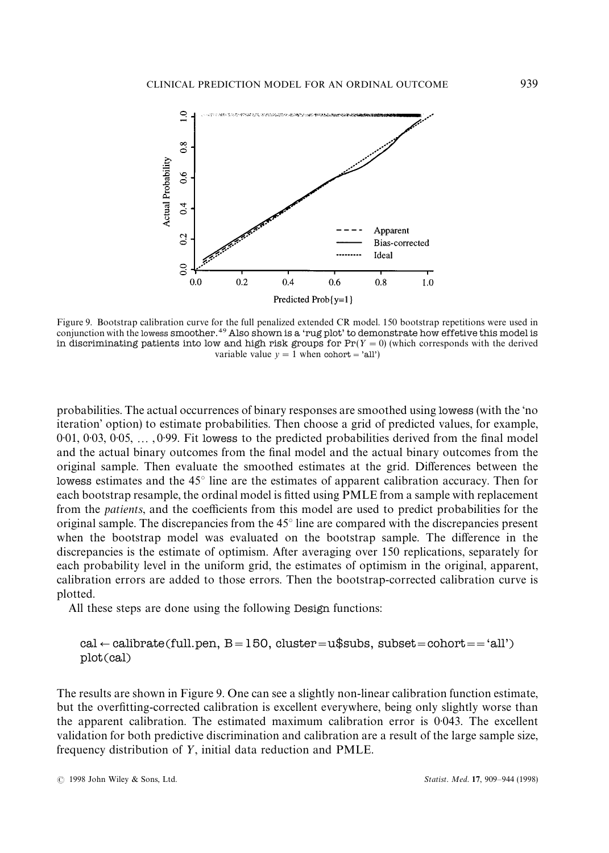

Figure 9. Bootstrap calibration curve for the full penalized extended CR model. 150 bootstrap repetitions were used in conjunction with the lowess smoother.<sup>49</sup> Also shown is a 'rug plot' to demonstrate how effetive this model is in discriminating patients into low and high risk groups for  $Pr(Y = 0)$  (which corresponds with the derived variable value  $y = 1$  when cohort = 'all')

probabilities. The actual occurrences of binary responses are smoothed using lowess (with the 'no iteration' option) to estimate probabilities. Then choose a grid of predicted values, for example, 0.01, 0.03, 0.05,  $\dots$ , 0.99. Fit lowess to the predicted probabilities derived from the final model and the actual binary outcomes from the final model and the actual binary outcomes from the original sample. Then evaluate the smoothed estimates at the grid. Differences between the lowess estimates and the 45*°* line are the estimates of apparent calibration accuracy. Then for each bootstrap resample, the ordinal model is fitted using PMLE from a sample with replacement from the *patients*, and the coefficients from this model are used to predict probabilities for the original sample. The discrepancies from the 45*°* line are compared with the discrepancies present when the bootstrap model was evaluated on the bootstrap sample. The difference in the discrepancies is the estimate of optimism. After averaging over 150 replications, separately for each probability level in the uniform grid, the estimates of optimism in the original, apparent, calibration errors are added to those errors. Then the bootstrap-corrected calibration curve is plotted.

All these steps are done using the following Design functions:

## $cal \leftarrow calibrate(full.pen, B = 150, cluster = u$subs, subset = cohort == 'all')$ plot(cal)

The results are shown in Figure 9. One can see a slightly non-linear calibration function estimate, but the overfitting-corrected calibration is excellent everywhere, being only slightly worse than the apparent calibration. The estimated maximum calibration error is  $0.043$ . The excellent validation for both predictive discrimination and calibration are a result of the large sample size, frequency distribution of ½, initial data reduction and PMLE.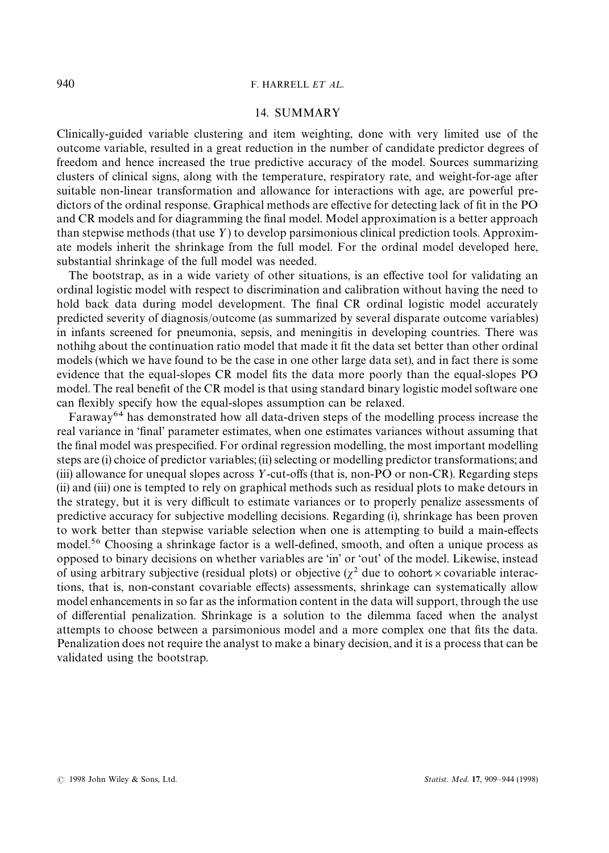### 940 F. HARRELL *ET AL*.

#### 14. SUMMARY

Clinically-guided variable clustering and item weighting, done with very limited use of the outcome variable, resulted in a great reduction in the number of candidate predictor degrees of freedom and hence increased the true predictive accuracy of the model. Sources summarizing clusters of clinical signs, along with the temperature, respiratory rate, and weight-for-age after suitable non-linear transformation and allowance for interactions with age, are powerful predictors of the ordinal response. Graphical methods are effective for detecting lack of fit in the PO and CR models and for diagramming the final model. Model approximation is a better approach than stepwise methods (that use  $Y$ ) to develop parsimonious clinical prediction tools. Approximate models inherit the shrinkage from the full model. For the ordinal model developed here, substantial shrinkage of the full model was needed.

The bootstrap, as in a wide variety of other situations, is an effective tool for validating an ordinal logistic model with respect to discrimination and calibration without having the need to hold back data during model development. The final CR ordinal logistic model accurately predicted severity of diagnosis/outcome (as summarized by several disparate outcome variables) in infants screened for pneumonia, sepsis, and meningitis in developing countries. There was nothihg about the continuation ratio model that made it fit the data set better than other ordinal models (which we have found to be the case in one other large data set), and in fact there is some evidence that the equal-slopes CR model fits the data more poorly than the equal-slopes PO model. The real benefit of the CR model is that using standard binary logistic model software one can flexibly specify how the equal-slopes assumption can be relaxed.

Faraway<sup>64</sup> has demonstrated how all data-driven steps of the modelling process increase the real variance in 'final' parameter estimates, when one estimates variances without assuming that the final model was prespecified. For ordinal regression modelling, the most important modelling steps are (i) choice of predictor variables; (ii) selecting or modelling predictor transformations; and  $(iii)$  allowance for unequal slopes across Y-cut-offs (that is, non-PO or non-CR). Regarding steps (ii) and (iii) one is tempted to rely on graphical methods such as residual plots to make detours in the strategy, but it is very difficult to estimate variances or to properly penalize assessments of predictive accuracy for subjective modelling decisions. Regarding (i), shrinkage has been proven to work better than stepwise variable selection when one is attempting to build a main-effects model.<sup>56</sup> Choosing a shrinkage factor is a well-defined, smooth, and often a unique process as opposed to binary decisions on whether variables are 'in' or 'out' of the model. Likewise, instead of using arbitrary subjective (residual plots) or objective ( $\chi^2$  due to cohort  $\times$  covariable interactions, that is, non-constant covariable effects) assessments, shrinkage can systematically allow model enhancements in so far as the information content in the data will support, through the use of differential penalization. Shrinkage is a solution to the dilemma faced when the analyst attempts to choose between a parsimonious model and a more complex one that fits the data. Penalization does not require the analyst to make a binary decision, and it is a process that can be validated using the bootstrap.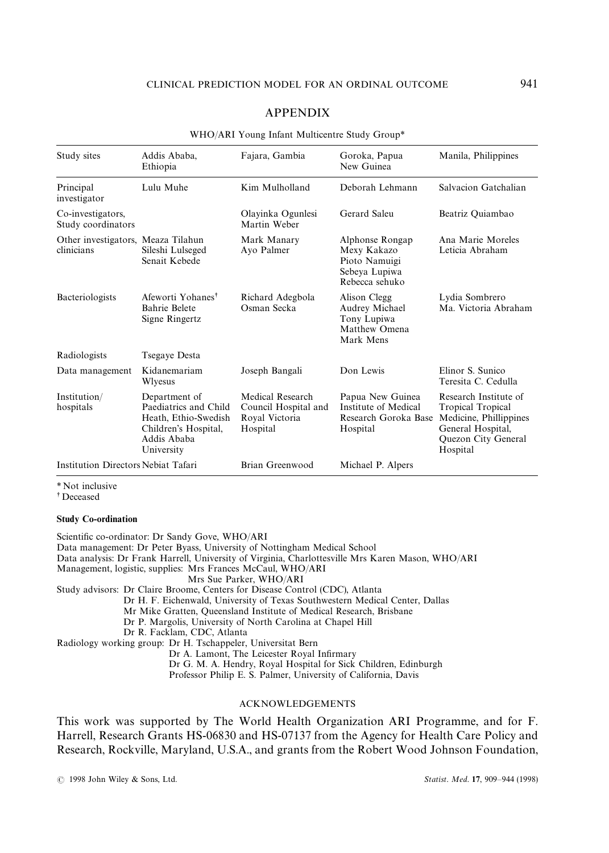#### APPENDIX

| Study sites                                      | Addis Ababa,<br>Ethiopia                                                                                            | Fajara, Gambia                                                         | Goroka, Papua<br>New Guinea                                                        | Manila, Philippines                                                                                                                 |
|--------------------------------------------------|---------------------------------------------------------------------------------------------------------------------|------------------------------------------------------------------------|------------------------------------------------------------------------------------|-------------------------------------------------------------------------------------------------------------------------------------|
| Principal<br>investigator                        | Lulu Muhe                                                                                                           | Kim Mulholland                                                         | Deborah Lehmann                                                                    | Salvacion Gatchalian                                                                                                                |
| Co-investigators,<br>Study coordinators          |                                                                                                                     | Olayinka Ogunlesi<br>Martin Weber                                      | Gerard Saleu                                                                       | Beatriz Quiambao                                                                                                                    |
| Other investigators, Meaza Tilahun<br>clinicians | Sileshi Lulseged<br>Senait Kebede                                                                                   | Mark Manary<br>Avo Palmer                                              | Alphonse Rongap<br>Mexy Kakazo<br>Pioto Namuigi<br>Sebeya Lupiwa<br>Rebecca sehuko | Ana Marie Moreles<br>Leticia Abraham                                                                                                |
| Bacteriologists                                  | Afeworti Yohanes <sup>†</sup><br><b>Bahrie Belete</b><br>Signe Ringertz                                             | Richard Adegbola<br>Osman Secka                                        | Alison Clegg<br>Audrey Michael<br>Tony Lupiwa<br>Matthew Omena<br>Mark Mens        | Lydia Sombrero<br>Ma. Victoria Abraham                                                                                              |
| Radiologists                                     | Tsegaye Desta                                                                                                       |                                                                        |                                                                                    |                                                                                                                                     |
| Data management                                  | Kidanemariam<br>Wlyesus                                                                                             | Joseph Bangali                                                         | Don Lewis                                                                          | Elinor S. Sunico<br>Teresita C. Cedulla                                                                                             |
| Institution/<br>hospitals                        | Department of<br>Paediatrics and Child<br>Heath, Ethio-Swedish<br>Children's Hospital,<br>Addis Ababa<br>University | Medical Research<br>Council Hospital and<br>Royal Victoria<br>Hospital | Papua New Guinea<br>Institute of Medical<br>Research Goroka Base<br>Hospital       | Research Institute of<br><b>Tropical Tropical</b><br>Medicine, Phillippines<br>General Hospital,<br>Quezon City General<br>Hospital |
| Institution Directors Nebiat Tafari              |                                                                                                                     | Brian Greenwood                                                        | Michael P. Alpers                                                                  |                                                                                                                                     |

#### WHO/ARI Young Infant Multicentre Study Group*\**

*\** Not inclusive

<sup>†</sup> Deceased

#### Study Co-ordination

Scientific co-ordinator: Dr Sandy Gove, WHO/ARI Data management: Dr Peter Byass, University of Nottingham Medical School Data analysis: Dr Frank Harrell, University of Virginia, Charlottesville Mrs Karen Mason, WHO/ARI Management, logistic, supplies: Mrs Frances McCaul, WHO/ARI Mrs Sue Parker, WHO/ARI Study advisors: Dr Claire Broome, Centers for Disease Control (CDC), Atlanta Dr H. F. Eichenwald, University of Texas Southwestern Medical Center, Dallas Mr Mike Gratten, Queensland Institute of Medical Research, Brisbane Dr P. Margolis, University of North Carolina at Chapel Hill Dr R. Facklam, CDC, Atlanta Radiology working group: Dr H. Tschappeler, Universitat Bern Dr A. Lamont, The Leicester Royal Infirmary Dr G. M. A. Hendry, Royal Hospital for Sick Children, Edinburgh Professor Philip E. S. Palmer, University of California, Davis

#### ACKNOWLEDGEMENTS

This work was supported by The World Health Organization ARI Programme, and for F. Harrell, Research Grants HS-06830 and HS-07137 from the Agency for Health Care Policy and Research, Rockville, Maryland, U.S.A., and grants from the Robert Wood Johnson Foundation,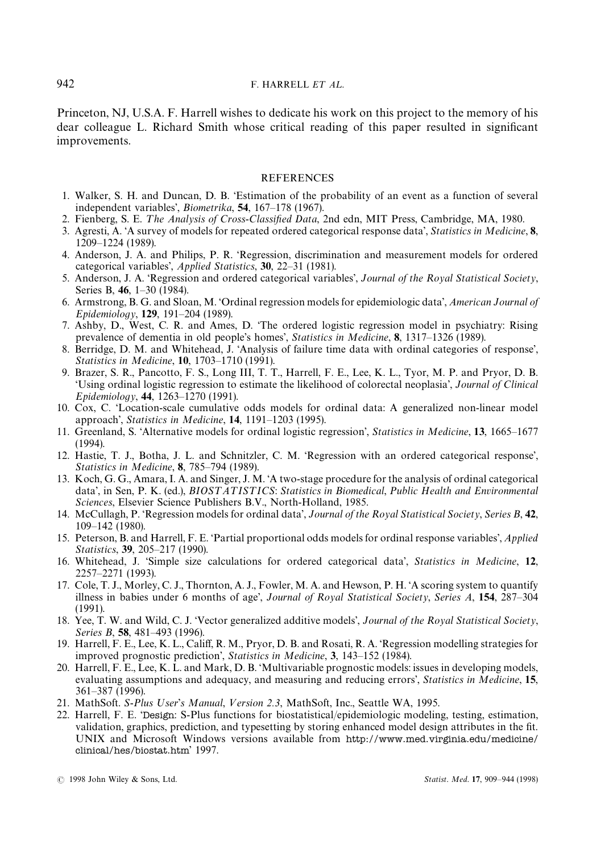Princeton, NJ, U.S.A. F. Harrell wishes to dedicate his work on this project to the memory of his dear colleague L. Richard Smith whose critical reading of this paper resulted in significant improvements.

#### **REFERENCES**

- 1. Walker, S. H. and Duncan, D. B. 'Estimation of the probability of an event as a function of several independent variables', *Biometrika*, 54, 167*—*178 (1967).
- 2. Fienberg, S. E. The Analysis of Cross-Classified Data, 2nd edn, MIT Press, Cambridge, MA, 1980.
- 3. Agresti, A. 'A survey of models for repeated ordered categorical response data', *Statistics in Medicine*, 8, 1209*—*1224 (1989).
- 4. Anderson, J. A. and Philips, P. R. 'Regression, discrimination and measurement models for ordered categorical variables', *Applied Statistics*, 30, 22*—*31 (1981).
- 5. Anderson, J. A. 'Regression and ordered categorical variables', *Journal of the Royal Statistical Society*, Series B, 46, 1*—*30 (1984).
- 6. Armstrong, B. G. and Sloan, M. 'Ordinal regression models for epidemiologic data', *American Journal of Epidemiology*, 129, 191*—*204 (1989).
- 7. Ashby, D., West, C. R. and Ames, D. 'The ordered logistic regression model in psychiatry: Rising prevalence of dementia in old people's homes', *Statistics in Medicine*, 8, 1317*—*1326 (1989).
- 8. Berridge, D. M. and Whitehead, J. 'Analysis of failure time data with ordinal categories of response', *Statistics in Medicine*, 10, 1703*—*1710 (1991).
- 9. Brazer, S. R., Pancotto, F. S., Long III, T. T., Harrell, F. E., Lee, K. L., Tyor, M. P. and Pryor, D. B. 'Using ordinal logistic regression to estimate the likelihood of colorectal neoplasia', *Journal of Clinical Epidemiology*, 44, 1263*—*1270 (1991).
- 10. Cox, C. 'Location-scale cumulative odds models for ordinal data: A generalized non-linear model approach', *Statistics in Medicine*, 14, 1191*—*1203 (1995).
- 11. Greenland, S. 'Alternative models for ordinal logistic regression', *Statistics in Medicine*, 13, 1665*—*1677 (1994).
- 12. Hastie, T. J., Botha, J. L. and Schnitzler, C. M. 'Regression with an ordered categorical response', *Statistics in Medicine*, 8, 785*—*794 (1989).
- 13. Koch, G. G., Amara, I. A. and Singer, J. M. 'A two-stage procedure for the analysis of ordinal categorical data', in Sen, P. K. (ed.), *BIOSTATISTICS*: *Statistics in Biomedical*, *Public Health and Environmental Sciences*, Elsevier Science Publishers B.V., North-Holland, 1985.
- 14. McCullagh, P. 'Regression models for ordinal data', *Journal of the Royal Statistical Society*, *Series B*, 42, 109*—*142 (1980).
- 15. Peterson, B. and Harrell, F. E. 'Partial proportional odds models for ordinal response variables', *Applied Statistics*, 39, 205*—*217 (1990).
- 16. Whitehead, J. 'Simple size calculations for ordered categorical data', *Statistics in Medicine*, 12, 2257*—*2271 (1993).
- 17. Cole, T. J., Morley, C. J., Thornton, A. J., Fowler, M. A. and Hewson, P. H. 'A scoring system to quantify illness in babies under 6 months of age', *Journal of Royal Statistical Society*, *Series A*, 154, 287*—*304 (1991).
- 18. Yee, T. W. and Wild, C. J. 'Vector generalized additive models', *Journal of the Royal Statistical Society*, *Series B*, 58, 481*—*493 (1996).
- 19. Harrell, F. E., Lee, K. L., Califf, R. M., Pryor, D. B. and Rosati, R. A. 'Regression modelling strategies for improved prognostic prediction', *Statistics in Medicine*, 3, 143*—*152 (1984).
- 20. Harrell, F. E., Lee, K. L. and Mark, D. B. 'Multivariable prognostic models: issues in developing models, evaluating assumptions and adequacy, and measuring and reducing errors', *Statistics in Medicine*, 15, 361*—*387 (1996).
- 21. MathSoft. *S*-*Plus* º*ser*'*s Manual*, »*ersion 2.3*, MathSoft, Inc., Seattle WA, 1995.
- 22. Harrell, F. E. 'Design: S-Plus functions for biostatistical/epidemiologic modeling, testing, estimation, validation, graphics, prediction, and typesetting by storing enhanced model design attributes in the fit. UNIX and Microsoft Windows versions available from http://www.med.virginia.edu/medicine/ clinical/hes/biostat.htm' 1997.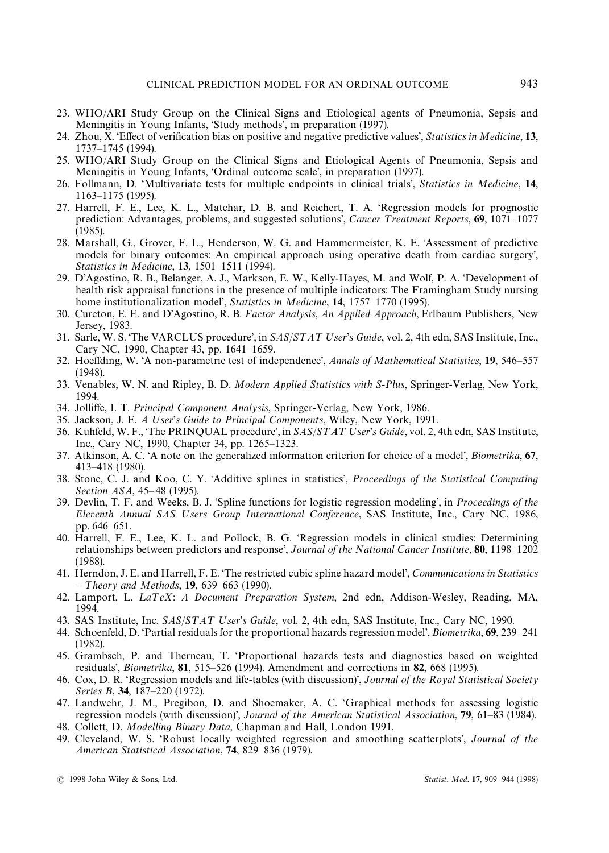- 23. WHO/ARI Study Group on the Clinical Signs and Etiological agents of Pneumonia, Sepsis and Meningitis in Young Infants, 'Study methods', in preparation (1997).
- 24. Zhou, X. 'Effect of verification bias on positive and negative predictive values', *Statistics in Medicine*, 13, 1737*—*1745 (1994).
- 25. WHO/ARI Study Group on the Clinical Signs and Etiological Agents of Pneumonia, Sepsis and Meningitis in Young Infants, 'Ordinal outcome scale', in preparation (1997).
- 26. Follmann, D. 'Multivariate tests for multiple endpoints in clinical trials', *Statistics in Medicine*, 14, 1163*—*1175 (1995).
- 27. Harrell, F. E., Lee, K. L., Matchar, D. B. and Reichert, T. A. 'Regression models for prognostic prediction: Advantages, problems, and suggested solutions', *Cancer Treatment Reports*, 69, 1071–1077 (1985).
- 28. Marshall, G., Grover, F. L., Henderson, W. G. and Hammermeister, K. E. 'Assessment of predictive models for binary outcomes: An empirical approach using operative death from cardiac surgery', *Statistics in Medicine*, 13, 1501*—*1511 (1994).
- 29. D'Agostino, R. B., Belanger, A. J., Markson, E. W., Kelly-Hayes, M. and Wolf, P. A. 'Development of health risk appraisal functions in the presence of multiple indicators: The Framingham Study nursing home institutionalization model', *Statistics in Medicine*, 14, 1757*—*1770 (1995).
- 30. Cureton, E. E. and D'Agostino, R. B. *Factor Analysis*, *An Applied Approach*, Erlbaum Publishers, New Jersey, 1983.
- 31. Sarle, W. S. 'The VARCLUS procedure', in *SAS/STAT User's Guide*, vol. 2, 4th edn, SAS Institute, Inc., Cary NC, 1990, Chapter 43, pp. 1641*—*1659.
- 32. Hoeffding, W. 'A non-parametric test of independence', *Annals of Mathematical Statistics*, 19, 546*—*557 (1948).
- 33. Venables, W. N. and Ripley, B. D. *Modern Applied Statistics with S*-*Plus*, Springer-Verlag, New York, 1994.
- 34. Jolliffe, I. T. *Principal Component Analysis*, Springer-Verlag, New York, 1986.
- 35. Jackson, J. E. *A* º*ser*'*s Guide to Principal Components*, Wiley, New York, 1991.
- 36. Kuhfeld, W. F., 'The PRINQUAL procedure', in *SAS/STAT User's Guide*, vol. 2, 4th edn, SAS Institute, Inc., Cary NC, 1990, Chapter 34, pp. 1265*—*1323.
- 37. Atkinson, A. C. 'A note on the generalized information criterion for choice of a model', *Biometrika*, 67, 413*—*418 (1980).
- 38. Stone, C. J. and Koo, C. Y. 'Additive splines in statistics', *Proceedings of the Statistical Computing Section ASA*, 45*—*48 (1995).
- 39. Devlin, T. F. and Weeks, B. J. 'Spline functions for logistic regression modeling', in *Proceedings of the Eleventh Annual SAS Users Group International Conference*, SAS Institute, Inc., Cary NC, 1986, pp. 646*—*651.
- 40. Harrell, F. E., Lee, K. L. and Pollock, B. G. 'Regression models in clinical studies: Determining relationships between predictors and response', *Journal of the National Cancer Institute*, 80, 1198*—*1202 (1988).
- 41. Herndon, J. E. and Harrell, F. E. 'The restricted cubic spline hazard model', *Communications in Statistics*  $-$  Theory and Methods, 19, 639–663 (1990).
- 42. Lamport, L. *LaTeX*: *A Document Preparation System*, 2nd edn, Addison-Wesley, Reading, MA, 1994.
- 43. SAS Institute, Inc. *SAS/STAT User's Guide*, vol. 2, 4th edn, SAS Institute, Inc., Cary NC, 1990.
- 44. Schoenfeld, D. 'Partial residuals for the proportional hazards regression model', *Biometrika*, 69, 239*—*241 (1982).
- 45. Grambsch, P. and Therneau, T. 'Proportional hazards tests and diagnostics based on weighted residuals', *Biometrika*, 81, 515*—*526 (1994). Amendment and corrections in 82, 668 (1995).
- 46. Cox, D. R. 'Regression models and life-tables (with discussion)', *Journal of the Royal Statistical Society Series B*, 34, 187*—*220 (1972).
- 47. Landwehr, J. M., Pregibon, D. and Shoemaker, A. C. 'Graphical methods for assessing logistic regression models (with discussion)', *Journal of the American Statistical Association*, 79, 61*—*83 (1984).
- 48. Collett, D. *Modelling Binary Data*, Chapman and Hall, London 1991.
- 49. Cleveland, W. S. 'Robust locally weighted regression and smoothing scatterplots', *Journal of the American Statistical Association*, 74, 829*—*836 (1979).